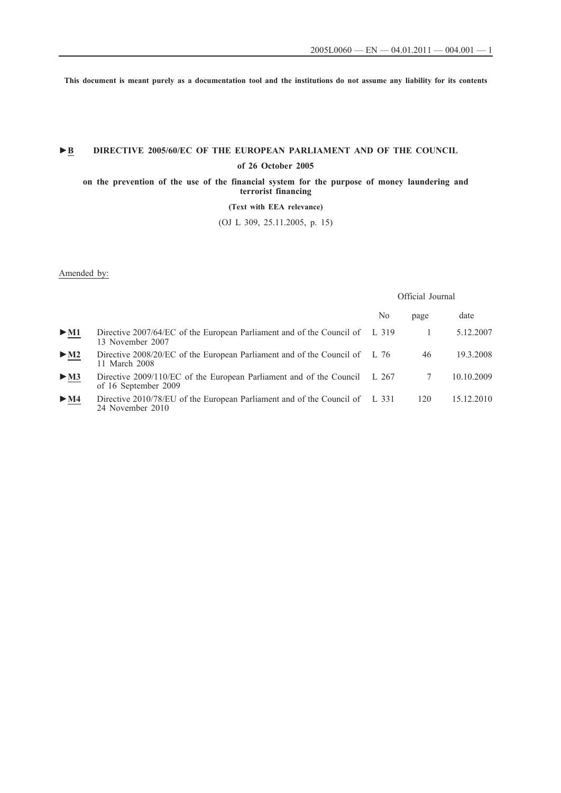**This document is meant purely as a documentation tool and the institutions do not assume any liability for its contents**

# ►**B** DIRECTIVE 2005/60/EC OF THE EUROPEAN PARLIAMENT AND OF THE COUNCIL

**of 26 October 2005**

**on the prevention of the use of the financial system for the purpose of money laundering and terrorist financing**

**(Text with EEA relevance)**

(OJ L 309, 25.11.2005, p. 15)

## Amended by:

## Official Journal

|                          |                                                                                                   | No | page | date       |
|--------------------------|---------------------------------------------------------------------------------------------------|----|------|------------|
| $\triangleright$ M1      | Directive 2007/64/EC of the European Parliament and of the Council of L 319<br>13 November 2007   |    |      | 5.12.2007  |
| $\blacktriangleright$ M2 | Directive 2008/20/EC of the European Parliament and of the Council of L 76<br>11 March 2008       |    | 46   | 19.3.2008  |
| $\triangleright$ M3      | Directive 2009/110/EC of the European Parliament and of the Council L 267<br>of 16 September 2009 |    |      | 10.10.2009 |
| $\blacktriangleright$ M4 | Directive 2010/78/EU of the European Parliament and of the Council of L 331<br>24 November 2010   |    | 120  | 15.12.2010 |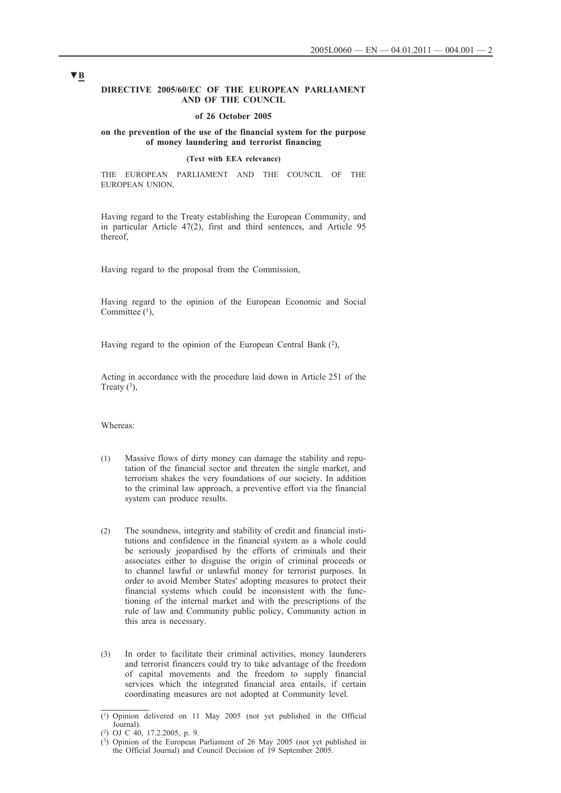#### **DIRECTIVE 2005/60/EC OF THE EUROPEAN PARLIAMENT AND OF THE COUNCIL**

#### **of 26 October 2005**

### **on the prevention of the use of the financial system for the purpose of money laundering and terrorist financing**

#### **(Text with EEA relevance)**

THE EUROPEAN PARLIAMENT AND THE COUNCIL OF THE EUROPEAN UNION,

Having regard to the Treaty establishing the European Community, and in particular Article 47(2), first and third sentences, and Article 95 thereof,

Having regard to the proposal from the Commission,

Having regard to the opinion of the European Economic and Social Committee  $(1)$ ,

Having regard to the opinion of the European Central Bank  $(2)$ ,

Acting in accordance with the procedure laid down in Article 251 of the Treaty  $(^3)$ ,

#### Whereas:

- (1) Massive flows of dirty money can damage the stability and reputation of the financial sector and threaten the single market, and terrorism shakes the very foundations of our society. In addition to the criminal law approach, a preventive effort via the financial system can produce results.
- (2) The soundness, integrity and stability of credit and financial institutions and confidence in the financial system as a whole could be seriously jeopardised by the efforts of criminals and their associates either to disguise the origin of criminal proceeds or to channel lawful or unlawful money for terrorist purposes. In order to avoid Member States' adopting measures to protect their financial systems which could be inconsistent with the functioning of the internal market and with the prescriptions of the rule of law and Community public policy, Community action in this area is necessary.
- (3) In order to facilitate their criminal activities, money launderers and terrorist financers could try to take advantage of the freedom of capital movements and the freedom to supply financial services which the integrated financial area entails, if certain coordinating measures are not adopted at Community level.

<sup>(1)</sup> Opinion delivered on 11 May 2005 (not yet published in the Official Journal).

<sup>(2)</sup> OJ C 40, 17.2.2005, p. 9.

<sup>(3)</sup> Opinion of the European Parliament of 26 May 2005 (not yet published in the Official Journal) and Council Decision of 19 September 2005.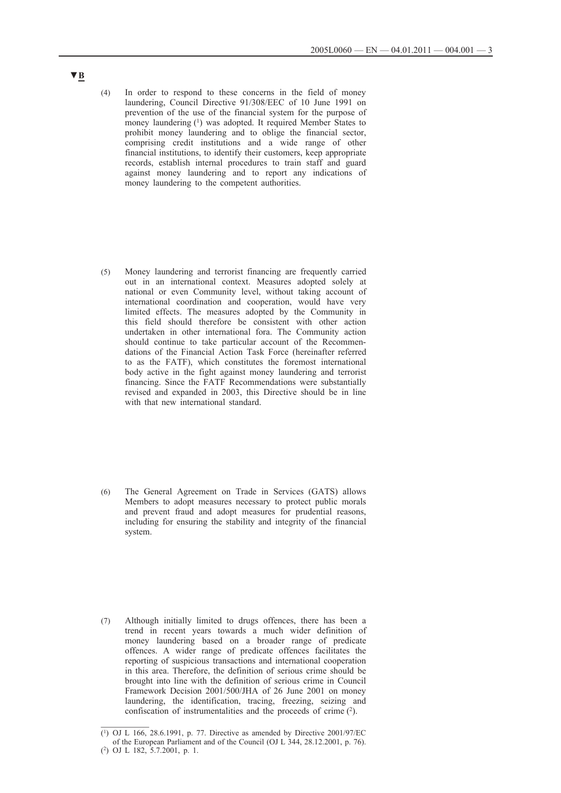- (4) In order to respond to these concerns in the field of money laundering, Council Directive 91/308/EEC of 10 June 1991 on prevention of the use of the financial system for the purpose of money laundering (1) was adopted. It required Member States to prohibit money laundering and to oblige the financial sector, comprising credit institutions and a wide range of other financial institutions, to identify their customers, keep appropriate records, establish internal procedures to train staff and guard against money laundering and to report any indications of money laundering to the competent authorities.
- (5) Money laundering and terrorist financing are frequently carried out in an international context. Measures adopted solely at national or even Community level, without taking account of international coordination and cooperation, would have very limited effects. The measures adopted by the Community in this field should therefore be consistent with other action undertaken in other international fora. The Community action should continue to take particular account of the Recommendations of the Financial Action Task Force (hereinafter referred to as the FATF), which constitutes the foremost international body active in the fight against money laundering and terrorist financing. Since the FATF Recommendations were substantially revised and expanded in 2003, this Directive should be in line with that new international standard.

- (6) The General Agreement on Trade in Services (GATS) allows Members to adopt measures necessary to protect public morals and prevent fraud and adopt measures for prudential reasons, including for ensuring the stability and integrity of the financial system.
- (7) Although initially limited to drugs offences, there has been a trend in recent years towards a much wider definition of money laundering based on a broader range of predicate offences. A wider range of predicate offences facilitates the reporting of suspicious transactions and international cooperation in this area. Therefore, the definition of serious crime should be brought into line with the definition of serious crime in Council Framework Decision 2001/500/JHA of 26 June 2001 on money laundering, the identification, tracing, freezing, seizing and confiscation of instrumentalities and the proceeds of crime (2).

<sup>(1)</sup> OJ L 166, 28.6.1991, p. 77. Directive as amended by Directive 2001/97/EC of the European Parliament and of the Council (OJ L 344, 28.12.2001, p. 76).

<sup>(2)</sup> OJ L 182, 5.7.2001, p. 1.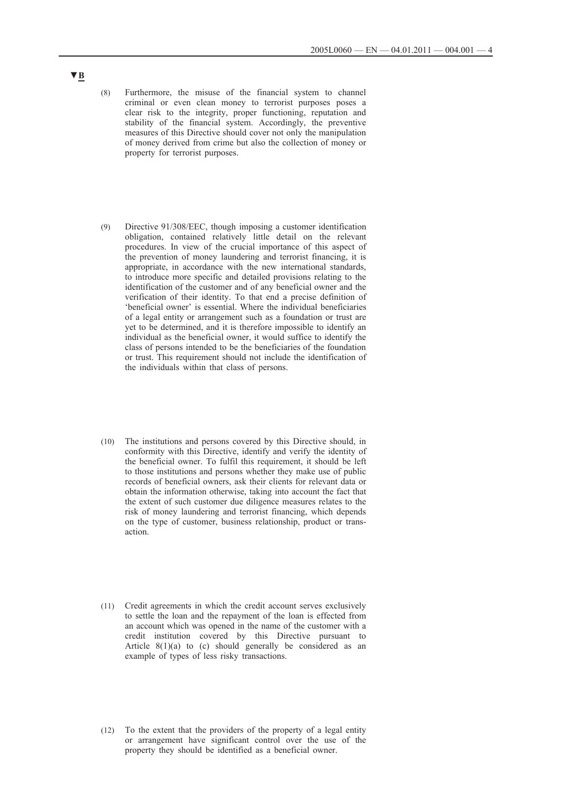- (8) Furthermore, the misuse of the financial system to channel criminal or even clean money to terrorist purposes poses a clear risk to the integrity, proper functioning, reputation and stability of the financial system. Accordingly, the preventive measures of this Directive should cover not only the manipulation of money derived from crime but also the collection of money or property for terrorist purposes.
- (9) Directive 91/308/EEC, though imposing a customer identification obligation, contained relatively little detail on the relevant procedures. In view of the crucial importance of this aspect of the prevention of money laundering and terrorist financing, it is appropriate, in accordance with the new international standards, to introduce more specific and detailed provisions relating to the identification of the customer and of any beneficial owner and the verification of their identity. To that end a precise definition of 'beneficial owner' is essential. Where the individual beneficiaries of a legal entity or arrangement such as a foundation or trust are yet to be determined, and it is therefore impossible to identify an individual as the beneficial owner, it would suffice to identify the class of persons intended to be the beneficiaries of the foundation or trust. This requirement should not include the identification of the individuals within that class of persons.
- (10) The institutions and persons covered by this Directive should, in conformity with this Directive, identify and verify the identity of the beneficial owner. To fulfil this requirement, it should be left to those institutions and persons whether they make use of public records of beneficial owners, ask their clients for relevant data or obtain the information otherwise, taking into account the fact that the extent of such customer due diligence measures relates to the risk of money laundering and terrorist financing, which depends on the type of customer, business relationship, product or transaction.
- (11) Credit agreements in which the credit account serves exclusively to settle the loan and the repayment of the loan is effected from an account which was opened in the name of the customer with a credit institution covered by this Directive pursuant to Article  $8(1)(a)$  to (c) should generally be considered as an example of types of less risky transactions.
- (12) To the extent that the providers of the property of a legal entity or arrangement have significant control over the use of the property they should be identified as a beneficial owner.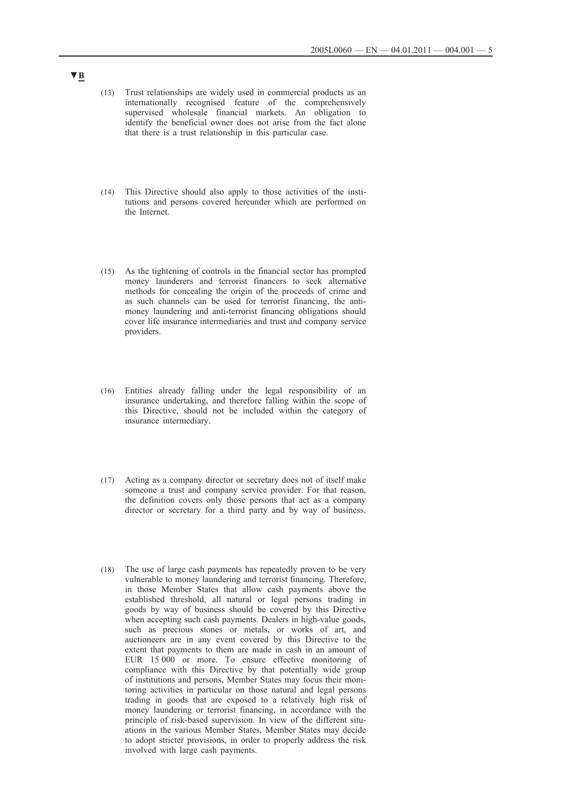- (13) Trust relationships are widely used in commercial products as an internationally recognised feature of the comprehensively supervised wholesale financial markets. An obligation to identify the beneficial owner does not arise from the fact alone that there is a trust relationship in this particular case.
- (14) This Directive should also apply to those activities of the institutions and persons covered hereunder which are performed on the Internet.
- (15) As the tightening of controls in the financial sector has prompted money launderers and terrorist financers to seek alternative methods for concealing the origin of the proceeds of crime and as such channels can be used for terrorist financing, the antimoney laundering and anti-terrorist financing obligations should cover life insurance intermediaries and trust and company service providers.
- (16) Entities already falling under the legal responsibility of an insurance undertaking, and therefore falling within the scope of this Directive, should not be included within the category of insurance intermediary.
- (17) Acting as a company director or secretary does not of itself make someone a trust and company service provider. For that reason, the definition covers only those persons that act as a company director or secretary for a third party and by way of business.
- (18) The use of large cash payments has repeatedly proven to be very vulnerable to money laundering and terrorist financing. Therefore, in those Member States that allow cash payments above the established threshold, all natural or legal persons trading in goods by way of business should be covered by this Directive when accepting such cash payments. Dealers in high-value goods, such as precious stones or metals, or works of art, and auctioneers are in any event covered by this Directive to the extent that payments to them are made in cash in an amount of EUR 15 000 or more. To ensure effective monitoring of compliance with this Directive by that potentially wide group of institutions and persons, Member States may focus their monitoring activities in particular on those natural and legal persons trading in goods that are exposed to a relatively high risk of money laundering or terrorist financing, in accordance with the principle of risk-based supervision. In view of the different situations in the various Member States, Member States may decide to adopt stricter provisions, in order to properly address the risk involved with large cash payments.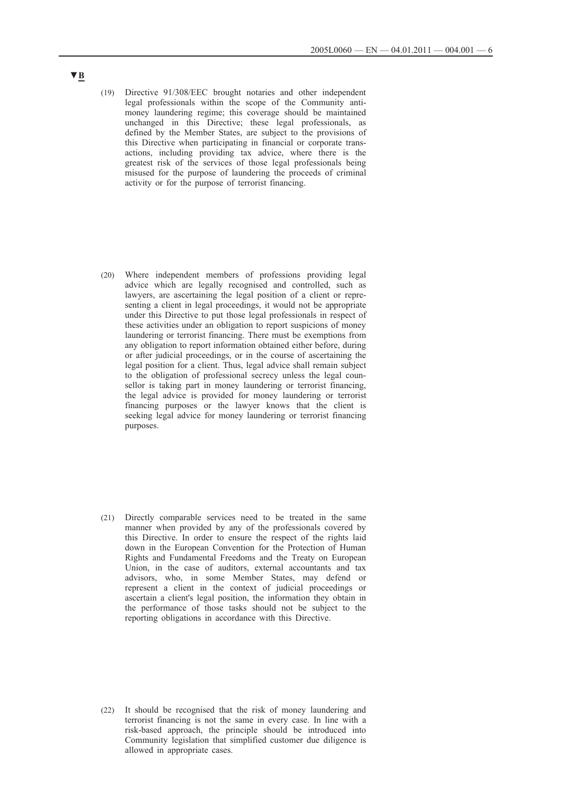(19) Directive 91/308/EEC brought notaries and other independent legal professionals within the scope of the Community antimoney laundering regime; this coverage should be maintained unchanged in this Directive; these legal professionals, as defined by the Member States, are subject to the provisions of this Directive when participating in financial or corporate transactions, including providing tax advice, where there is the greatest risk of the services of those legal professionals being misused for the purpose of laundering the proceeds of criminal activity or for the purpose of terrorist financing.

(20) Where independent members of professions providing legal advice which are legally recognised and controlled, such as lawyers, are ascertaining the legal position of a client or representing a client in legal proceedings, it would not be appropriate under this Directive to put those legal professionals in respect of these activities under an obligation to report suspicions of money laundering or terrorist financing. There must be exemptions from any obligation to report information obtained either before, during or after judicial proceedings, or in the course of ascertaining the legal position for a client. Thus, legal advice shall remain subject to the obligation of professional secrecy unless the legal counsellor is taking part in money laundering or terrorist financing, the legal advice is provided for money laundering or terrorist financing purposes or the lawyer knows that the client is seeking legal advice for money laundering or terrorist financing purposes.

(21) Directly comparable services need to be treated in the same manner when provided by any of the professionals covered by this Directive. In order to ensure the respect of the rights laid down in the European Convention for the Protection of Human Rights and Fundamental Freedoms and the Treaty on European Union, in the case of auditors, external accountants and tax advisors, who, in some Member States, may defend or represent a client in the context of judicial proceedings or ascertain a client's legal position, the information they obtain in the performance of those tasks should not be subject to the reporting obligations in accordance with this Directive.

(22) It should be recognised that the risk of money laundering and terrorist financing is not the same in every case. In line with a risk-based approach, the principle should be introduced into Community legislation that simplified customer due diligence is allowed in appropriate cases.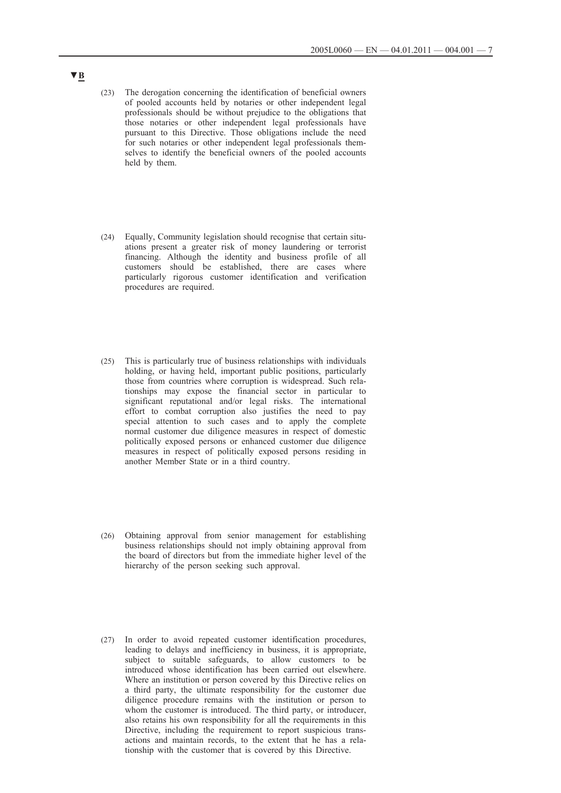- (23) The derogation concerning the identification of beneficial owners of pooled accounts held by notaries or other independent legal professionals should be without prejudice to the obligations that those notaries or other independent legal professionals have pursuant to this Directive. Those obligations include the need for such notaries or other independent legal professionals themselves to identify the beneficial owners of the pooled accounts held by them.
- (24) Equally, Community legislation should recognise that certain situations present a greater risk of money laundering or terrorist financing. Although the identity and business profile of all customers should be established, there are cases where particularly rigorous customer identification and verification procedures are required.
- (25) This is particularly true of business relationships with individuals holding, or having held, important public positions, particularly those from countries where corruption is widespread. Such relationships may expose the financial sector in particular to significant reputational and/or legal risks. The international effort to combat corruption also justifies the need to pay special attention to such cases and to apply the complete normal customer due diligence measures in respect of domestic politically exposed persons or enhanced customer due diligence measures in respect of politically exposed persons residing in another Member State or in a third country.
- (26) Obtaining approval from senior management for establishing business relationships should not imply obtaining approval from the board of directors but from the immediate higher level of the hierarchy of the person seeking such approval.
- (27) In order to avoid repeated customer identification procedures, leading to delays and inefficiency in business, it is appropriate, subject to suitable safeguards, to allow customers to be introduced whose identification has been carried out elsewhere. Where an institution or person covered by this Directive relies on a third party, the ultimate responsibility for the customer due diligence procedure remains with the institution or person to whom the customer is introduced. The third party, or introducer, also retains his own responsibility for all the requirements in this Directive, including the requirement to report suspicious transactions and maintain records, to the extent that he has a relationship with the customer that is covered by this Directive.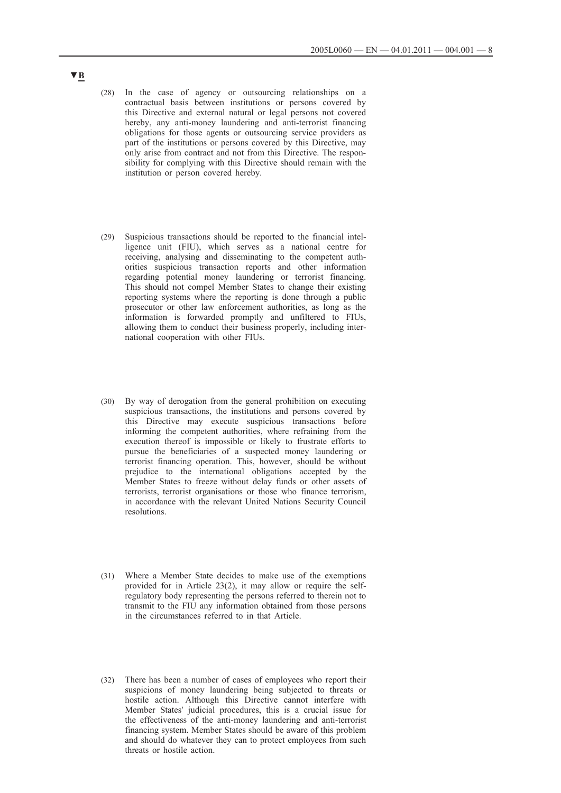- (28) In the case of agency or outsourcing relationships on a contractual basis between institutions or persons covered by this Directive and external natural or legal persons not covered hereby, any anti-money laundering and anti-terrorist financing obligations for those agents or outsourcing service providers as part of the institutions or persons covered by this Directive, may only arise from contract and not from this Directive. The responsibility for complying with this Directive should remain with the institution or person covered hereby.
- (29) Suspicious transactions should be reported to the financial intelligence unit (FIU), which serves as a national centre for receiving, analysing and disseminating to the competent authorities suspicious transaction reports and other information regarding potential money laundering or terrorist financing. This should not compel Member States to change their existing reporting systems where the reporting is done through a public prosecutor or other law enforcement authorities, as long as the information is forwarded promptly and unfiltered to FIUs, allowing them to conduct their business properly, including international cooperation with other FIUs.
- (30) By way of derogation from the general prohibition on executing suspicious transactions, the institutions and persons covered by this Directive may execute suspicious transactions before informing the competent authorities, where refraining from the execution thereof is impossible or likely to frustrate efforts to pursue the beneficiaries of a suspected money laundering or terrorist financing operation. This, however, should be without prejudice to the international obligations accepted by the Member States to freeze without delay funds or other assets of terrorists, terrorist organisations or those who finance terrorism, in accordance with the relevant United Nations Security Council resolutions.
- (31) Where a Member State decides to make use of the exemptions provided for in Article 23(2), it may allow or require the selfregulatory body representing the persons referred to therein not to transmit to the FIU any information obtained from those persons in the circumstances referred to in that Article.
- (32) There has been a number of cases of employees who report their suspicions of money laundering being subjected to threats or hostile action. Although this Directive cannot interfere with Member States' judicial procedures, this is a crucial issue for the effectiveness of the anti-money laundering and anti-terrorist financing system. Member States should be aware of this problem and should do whatever they can to protect employees from such threats or hostile action.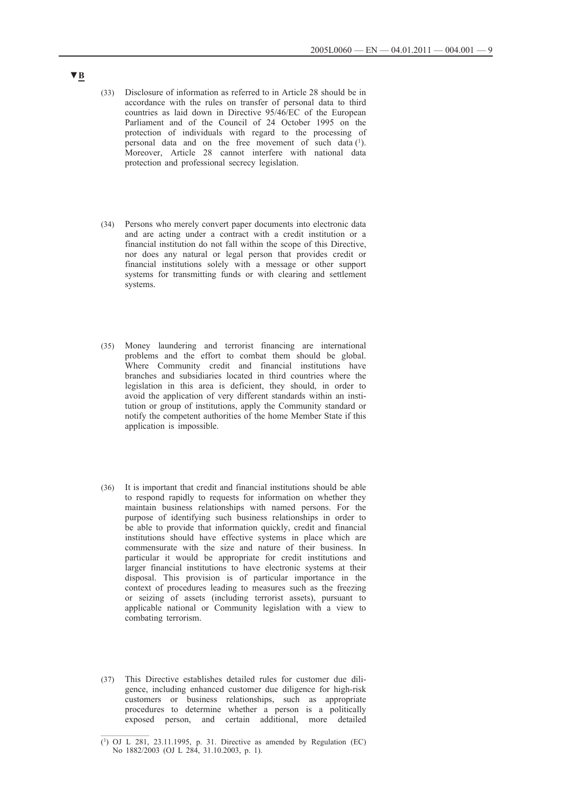- (33) Disclosure of information as referred to in Article 28 should be in accordance with the rules on transfer of personal data to third countries as laid down in Directive 95/46/EC of the European Parliament and of the Council of 24 October 1995 on the protection of individuals with regard to the processing of personal data and on the free movement of such data  $(1)$ . Moreover, Article 28 cannot interfere with national data protection and professional secrecy legislation.
- (34) Persons who merely convert paper documents into electronic data and are acting under a contract with a credit institution or a financial institution do not fall within the scope of this Directive, nor does any natural or legal person that provides credit or financial institutions solely with a message or other support systems for transmitting funds or with clearing and settlement systems.
- (35) Money laundering and terrorist financing are international problems and the effort to combat them should be global. Where Community credit and financial institutions have branches and subsidiaries located in third countries where the legislation in this area is deficient, they should, in order to avoid the application of very different standards within an institution or group of institutions, apply the Community standard or notify the competent authorities of the home Member State if this application is impossible.
- (36) It is important that credit and financial institutions should be able to respond rapidly to requests for information on whether they maintain business relationships with named persons. For the purpose of identifying such business relationships in order to be able to provide that information quickly, credit and financial institutions should have effective systems in place which are commensurate with the size and nature of their business. In particular it would be appropriate for credit institutions and larger financial institutions to have electronic systems at their disposal. This provision is of particular importance in the context of procedures leading to measures such as the freezing or seizing of assets (including terrorist assets), pursuant to applicable national or Community legislation with a view to combating terrorism.
- (37) This Directive establishes detailed rules for customer due diligence, including enhanced customer due diligence for high-risk customers or business relationships, such as appropriate procedures to determine whether a person is a politically exposed person, and certain additional, more detailed

<sup>(1)</sup> OJ L 281, 23.11.1995, p. 31. Directive as amended by Regulation (EC) No 1882/2003 (OJ L 284, 31.10.2003, p. 1).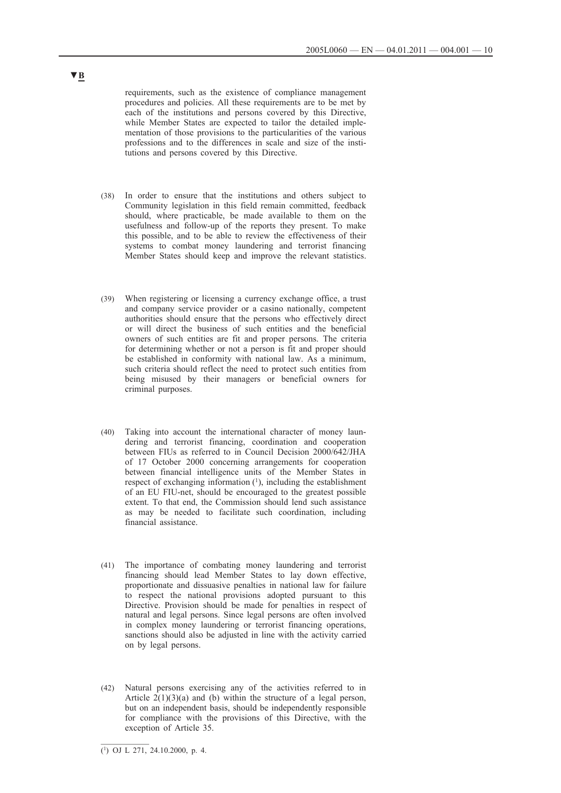requirements, such as the existence of compliance management procedures and policies. All these requirements are to be met by each of the institutions and persons covered by this Directive, while Member States are expected to tailor the detailed implementation of those provisions to the particularities of the various professions and to the differences in scale and size of the institutions and persons covered by this Directive.

- (38) In order to ensure that the institutions and others subject to Community legislation in this field remain committed, feedback should, where practicable, be made available to them on the usefulness and follow-up of the reports they present. To make this possible, and to be able to review the effectiveness of their systems to combat money laundering and terrorist financing Member States should keep and improve the relevant statistics.
- (39) When registering or licensing a currency exchange office, a trust and company service provider or a casino nationally, competent authorities should ensure that the persons who effectively direct or will direct the business of such entities and the beneficial owners of such entities are fit and proper persons. The criteria for determining whether or not a person is fit and proper should be established in conformity with national law. As a minimum, such criteria should reflect the need to protect such entities from being misused by their managers or beneficial owners for criminal purposes.
- (40) Taking into account the international character of money laundering and terrorist financing, coordination and cooperation between FIUs as referred to in Council Decision 2000/642/JHA of 17 October 2000 concerning arrangements for cooperation between financial intelligence units of the Member States in respect of exchanging information (1), including the establishment of an EU FIU-net, should be encouraged to the greatest possible extent. To that end, the Commission should lend such assistance as may be needed to facilitate such coordination, including financial assistance.
- (41) The importance of combating money laundering and terrorist financing should lead Member States to lay down effective, proportionate and dissuasive penalties in national law for failure to respect the national provisions adopted pursuant to this Directive. Provision should be made for penalties in respect of natural and legal persons. Since legal persons are often involved in complex money laundering or terrorist financing operations, sanctions should also be adjusted in line with the activity carried on by legal persons.
- (42) Natural persons exercising any of the activities referred to in Article  $2(1)(3)(a)$  and (b) within the structure of a legal person, but on an independent basis, should be independently responsible for compliance with the provisions of this Directive, with the exception of Article 35.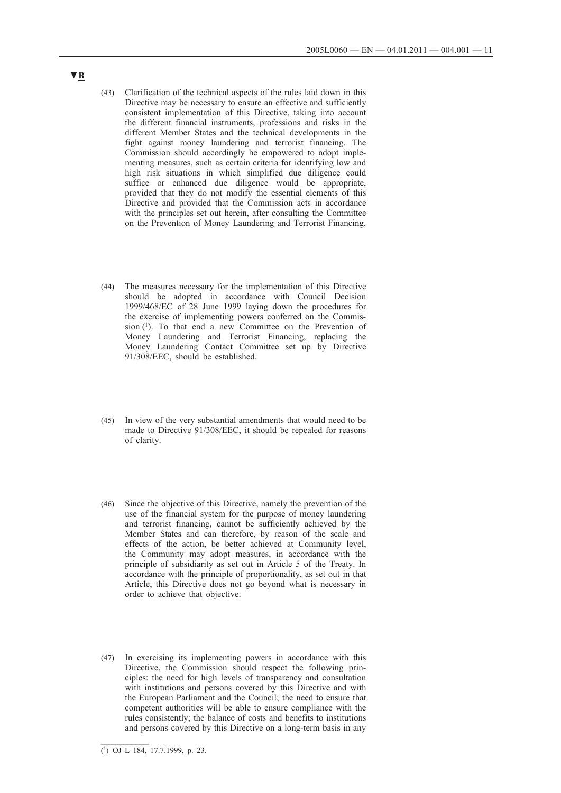- (43) Clarification of the technical aspects of the rules laid down in this Directive may be necessary to ensure an effective and sufficiently consistent implementation of this Directive, taking into account the different financial instruments, professions and risks in the different Member States and the technical developments in the fight against money laundering and terrorist financing. The Commission should accordingly be empowered to adopt implementing measures, such as certain criteria for identifying low and high risk situations in which simplified due diligence could suffice or enhanced due diligence would be appropriate, provided that they do not modify the essential elements of this Directive and provided that the Commission acts in accordance with the principles set out herein, after consulting the Committee on the Prevention of Money Laundering and Terrorist Financing*.*
- (44) The measures necessary for the implementation of this Directive should be adopted in accordance with Council Decision 1999/468/EC of 28 June 1999 laying down the procedures for the exercise of implementing powers conferred on the Commission (1). To that end a new Committee on the Prevention of Money Laundering and Terrorist Financing, replacing the Money Laundering Contact Committee set up by Directive 91/308/EEC, should be established.
- (45) In view of the very substantial amendments that would need to be made to Directive 91/308/EEC, it should be repealed for reasons of clarity.
- (46) Since the objective of this Directive, namely the prevention of the use of the financial system for the purpose of money laundering and terrorist financing, cannot be sufficiently achieved by the Member States and can therefore, by reason of the scale and effects of the action, be better achieved at Community level, the Community may adopt measures, in accordance with the principle of subsidiarity as set out in Article 5 of the Treaty. In accordance with the principle of proportionality, as set out in that Article, this Directive does not go beyond what is necessary in order to achieve that objective.
- (47) In exercising its implementing powers in accordance with this Directive, the Commission should respect the following principles: the need for high levels of transparency and consultation with institutions and persons covered by this Directive and with the European Parliament and the Council; the need to ensure that competent authorities will be able to ensure compliance with the rules consistently; the balance of costs and benefits to institutions and persons covered by this Directive on a long-term basis in any

(1) OJ L 184, 17.7.1999, p. 23.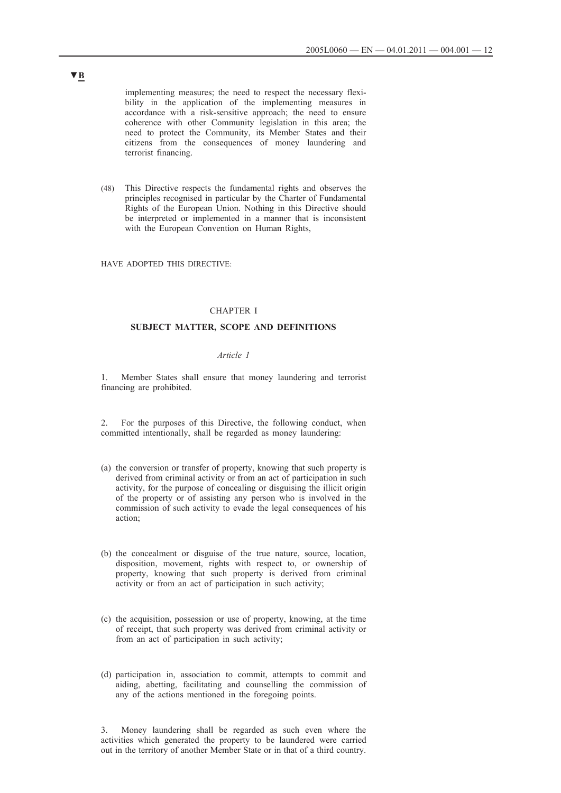implementing measures; the need to respect the necessary flexibility in the application of the implementing measures in accordance with a risk-sensitive approach; the need to ensure coherence with other Community legislation in this area; the need to protect the Community, its Member States and their citizens from the consequences of money laundering and terrorist financing.

(48) This Directive respects the fundamental rights and observes the principles recognised in particular by the Charter of Fundamental Rights of the European Union. Nothing in this Directive should be interpreted or implemented in a manner that is inconsistent with the European Convention on Human Rights,

HAVE ADOPTED THIS DIRECTIVE:

### CHAPTER I

## **SUBJECT MATTER, SCOPE AND DEFINITIONS**

### *Article 1*

1. Member States shall ensure that money laundering and terrorist financing are prohibited.

2. For the purposes of this Directive, the following conduct, when committed intentionally, shall be regarded as money laundering:

- (a) the conversion or transfer of property, knowing that such property is derived from criminal activity or from an act of participation in such activity, for the purpose of concealing or disguising the illicit origin of the property or of assisting any person who is involved in the commission of such activity to evade the legal consequences of his action;
- (b) the concealment or disguise of the true nature, source, location, disposition, movement, rights with respect to, or ownership of property, knowing that such property is derived from criminal activity or from an act of participation in such activity;
- (c) the acquisition, possession or use of property, knowing, at the time of receipt, that such property was derived from criminal activity or from an act of participation in such activity;
- (d) participation in, association to commit, attempts to commit and aiding, abetting, facilitating and counselling the commission of any of the actions mentioned in the foregoing points.

3. Money laundering shall be regarded as such even where the activities which generated the property to be laundered were carried out in the territory of another Member State or in that of a third country.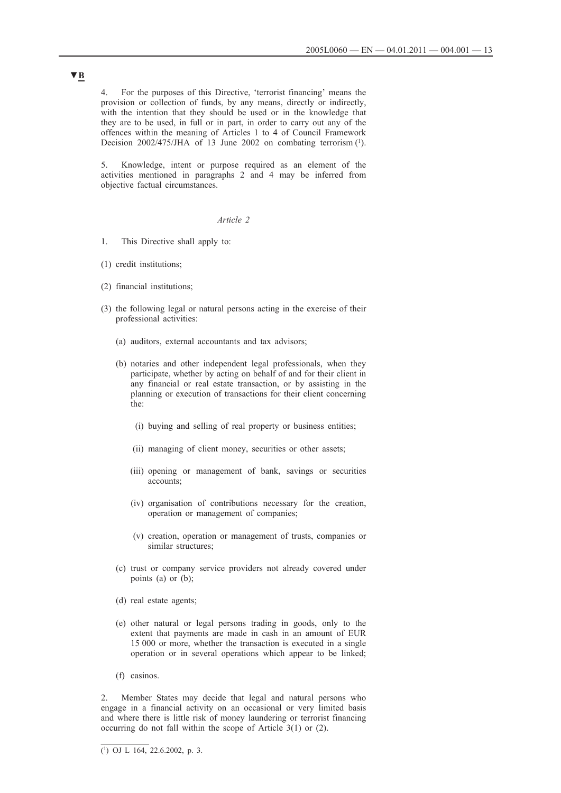4. For the purposes of this Directive, 'terrorist financing' means the provision or collection of funds, by any means, directly or indirectly, with the intention that they should be used or in the knowledge that they are to be used, in full or in part, in order to carry out any of the offences within the meaning of Articles 1 to 4 of Council Framework Decision 2002/475/JHA of 13 June 2002 on combating terrorism  $(1)$ .

5. Knowledge, intent or purpose required as an element of the activities mentioned in paragraphs 2 and 4 may be inferred from objective factual circumstances.

### *Article 2*

- 1. This Directive shall apply to:
- (1) credit institutions;
- (2) financial institutions;
- (3) the following legal or natural persons acting in the exercise of their professional activities:
	- (a) auditors, external accountants and tax advisors;
	- (b) notaries and other independent legal professionals, when they participate, whether by acting on behalf of and for their client in any financial or real estate transaction, or by assisting in the planning or execution of transactions for their client concerning the:
		- (i) buying and selling of real property or business entities;
		- (ii) managing of client money, securities or other assets;
		- (iii) opening or management of bank, savings or securities accounts;
		- (iv) organisation of contributions necessary for the creation, operation or management of companies;
		- (v) creation, operation or management of trusts, companies or similar structures;
	- (c) trust or company service providers not already covered under points (a) or (b);
	- (d) real estate agents;
	- (e) other natural or legal persons trading in goods, only to the extent that payments are made in cash in an amount of EUR 15 000 or more, whether the transaction is executed in a single operation or in several operations which appear to be linked;
	- (f) casinos.

2. Member States may decide that legal and natural persons who engage in a financial activity on an occasional or very limited basis and where there is little risk of money laundering or terrorist financing occurring do not fall within the scope of Article 3(1) or (2).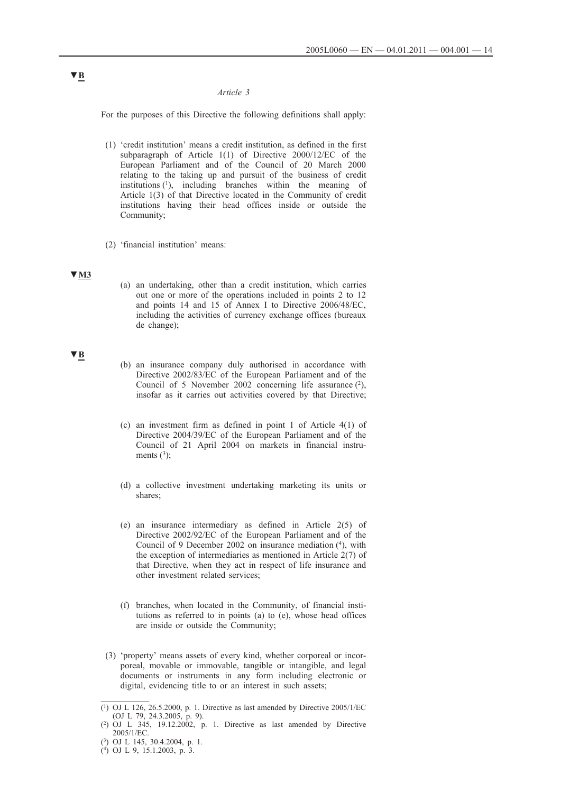#### *Article 3*

For the purposes of this Directive the following definitions shall apply:

- (1) 'credit institution' means a credit institution, as defined in the first subparagraph of Article 1(1) of Directive 2000/12/EC of the European Parliament and of the Council of 20 March 2000 relating to the taking up and pursuit of the business of credit institutions  $(1)$ , including branches within the meaning of Article 1(3) of that Directive located in the Community of credit institutions having their head offices inside or outside the Community;
- (2) 'financial institution' means:

#### **▼M3**

(a) an undertaking, other than a credit institution, which carries out one or more of the operations included in points 2 to 12 and points 14 and 15 of Annex I to Directive 2006/48/EC, including the activities of currency exchange offices (bureaux de change);

### **▼B**

- (b) an insurance company duly authorised in accordance with Directive 2002/83/EC of the European Parliament and of the Council of 5 November 2002 concerning life assurance  $(2)$ , insofar as it carries out activities covered by that Directive;
- (c) an investment firm as defined in point 1 of Article 4(1) of Directive 2004/39/EC of the European Parliament and of the Council of 21 April 2004 on markets in financial instruments  $(3)$ ;
- (d) a collective investment undertaking marketing its units or shares;
- (e) an insurance intermediary as defined in Article 2(5) of Directive 2002/92/EC of the European Parliament and of the Council of 9 December 2002 on insurance mediation (4), with the exception of intermediaries as mentioned in Article 2(7) of that Directive, when they act in respect of life insurance and other investment related services;
- (f) branches, when located in the Community, of financial institutions as referred to in points (a) to (e), whose head offices are inside or outside the Community;
- (3) 'property' means assets of every kind, whether corporeal or incorporeal, movable or immovable, tangible or intangible, and legal documents or instruments in any form including electronic or digital, evidencing title to or an interest in such assets;

<sup>(</sup> $^{1}$ ) OJ L 126, 26.5.2000, p. 1. Directive as last amended by Directive 2005/1/EC (OJ L 79, 24.3.2005, p. 9).

<sup>(2)</sup> OJ L  $345$ , 19.12.2002, p. 1. Directive as last amended by Directive 2005/1/EC.

<sup>(3)</sup> OJ L 145, 30.4.2004, p. 1.

<sup>(4)</sup> OJ L 9, 15.1.2003, p. 3.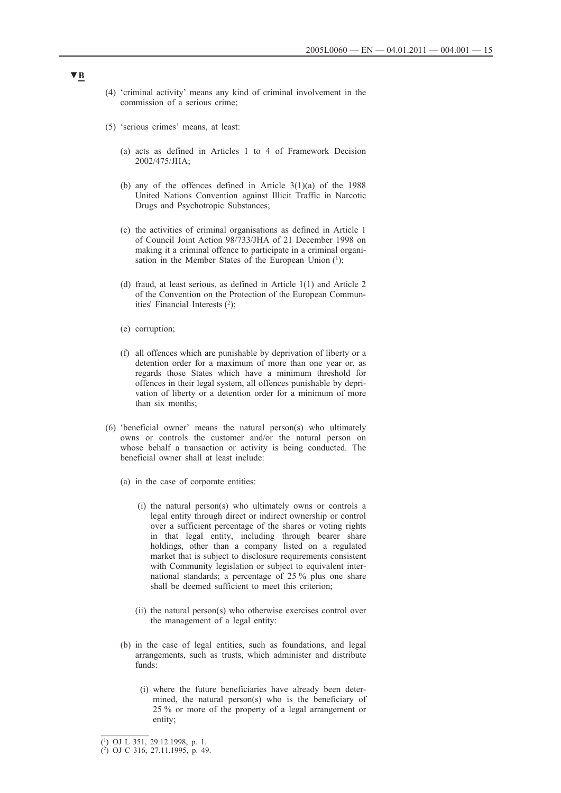- (4) 'criminal activity' means any kind of criminal involvement in the commission of a serious crime;
- (5) 'serious crimes' means, at least:
	- (a) acts as defined in Articles 1 to 4 of Framework Decision 2002/475/JHA;
	- (b) any of the offences defined in Article  $3(1)(a)$  of the 1988 United Nations Convention against Illicit Traffic in Narcotic Drugs and Psychotropic Substances;
	- (c) the activities of criminal organisations as defined in Article 1 of Council Joint Action 98/733/JHA of 21 December 1998 on making it a criminal offence to participate in a criminal organisation in the Member States of the European Union  $(1)$ ;
	- (d) fraud, at least serious, as defined in Article 1(1) and Article 2 of the Convention on the Protection of the European Communities' Financial Interests (2);
	- (e) corruption;
	- (f) all offences which are punishable by deprivation of liberty or a detention order for a maximum of more than one year or, as regards those States which have a minimum threshold for offences in their legal system, all offences punishable by deprivation of liberty or a detention order for a minimum of more than six months;
- (6) 'beneficial owner' means the natural person(s) who ultimately owns or controls the customer and/or the natural person on whose behalf a transaction or activity is being conducted. The beneficial owner shall at least include:
	- (a) in the case of corporate entities:
		- (i) the natural person(s) who ultimately owns or controls a legal entity through direct or indirect ownership or control over a sufficient percentage of the shares or voting rights in that legal entity, including through bearer share holdings, other than a company listed on a regulated market that is subject to disclosure requirements consistent with Community legislation or subject to equivalent international standards; a percentage of 25 % plus one share shall be deemed sufficient to meet this criterion;
		- (ii) the natural person(s) who otherwise exercises control over the management of a legal entity:
	- (b) in the case of legal entities, such as foundations, and legal arrangements, such as trusts, which administer and distribute funds:
		- (i) where the future beneficiaries have already been determined, the natural person(s) who is the beneficiary of 25 % or more of the property of a legal arrangement or entity;

<sup>(1)</sup> OJ L 351, 29.12.1998, p. 1.

<sup>(2)</sup> OJ C 316, 27.11.1995, p. 49.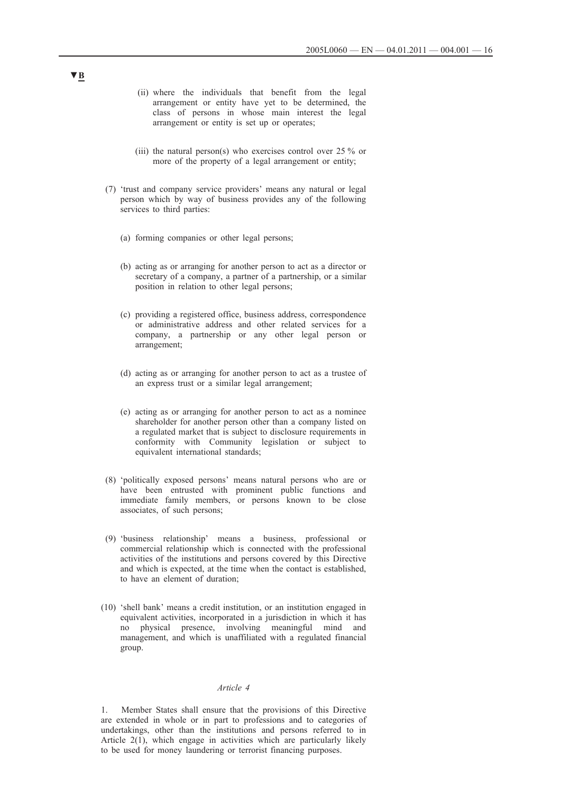- (ii) where the individuals that benefit from the legal arrangement or entity have yet to be determined, the class of persons in whose main interest the legal arrangement or entity is set up or operates;
- (iii) the natural person(s) who exercises control over 25 % or more of the property of a legal arrangement or entity;
- (7) 'trust and company service providers' means any natural or legal person which by way of business provides any of the following services to third parties:
	- (a) forming companies or other legal persons;
	- (b) acting as or arranging for another person to act as a director or secretary of a company, a partner of a partnership, or a similar position in relation to other legal persons;
	- (c) providing a registered office, business address, correspondence or administrative address and other related services for a company, a partnership or any other legal person or arrangement;
	- (d) acting as or arranging for another person to act as a trustee of an express trust or a similar legal arrangement;
	- (e) acting as or arranging for another person to act as a nominee shareholder for another person other than a company listed on a regulated market that is subject to disclosure requirements in conformity with Community legislation or subject to equivalent international standards;
- (8) 'politically exposed persons' means natural persons who are or have been entrusted with prominent public functions and immediate family members, or persons known to be close associates, of such persons;
- (9) 'business relationship' means a business, professional or commercial relationship which is connected with the professional activities of the institutions and persons covered by this Directive and which is expected, at the time when the contact is established, to have an element of duration;
- (10) 'shell bank' means a credit institution, or an institution engaged in equivalent activities, incorporated in a jurisdiction in which it has no physical presence, involving meaningful mind and management, and which is unaffiliated with a regulated financial group.

### *Article 4*

1. Member States shall ensure that the provisions of this Directive are extended in whole or in part to professions and to categories of undertakings, other than the institutions and persons referred to in Article 2(1), which engage in activities which are particularly likely to be used for money laundering or terrorist financing purposes.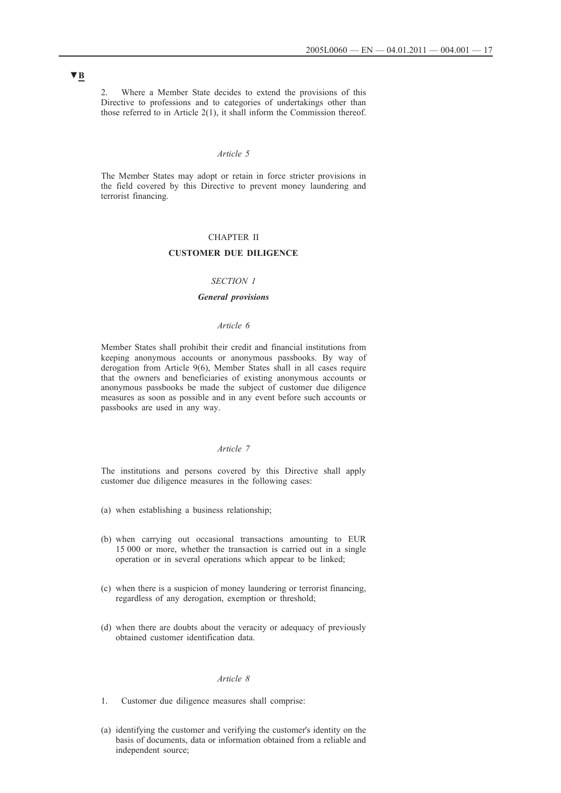2. Where a Member State decides to extend the provisions of this Directive to professions and to categories of undertakings other than those referred to in Article 2(1), it shall inform the Commission thereof.

#### *Article 5*

The Member States may adopt or retain in force stricter provisions in the field covered by this Directive to prevent money laundering and terrorist financing.

### CHAPTER II

### **CUSTOMER DUE DILIGENCE**

### *SECTION 1*

## *General provisions*

### *Article 6*

Member States shall prohibit their credit and financial institutions from keeping anonymous accounts or anonymous passbooks. By way of derogation from Article 9(6), Member States shall in all cases require that the owners and beneficiaries of existing anonymous accounts or anonymous passbooks be made the subject of customer due diligence measures as soon as possible and in any event before such accounts or passbooks are used in any way.

## *Article 7*

The institutions and persons covered by this Directive shall apply customer due diligence measures in the following cases:

- (a) when establishing a business relationship;
- (b) when carrying out occasional transactions amounting to EUR 15 000 or more, whether the transaction is carried out in a single operation or in several operations which appear to be linked;
- (c) when there is a suspicion of money laundering or terrorist financing, regardless of any derogation, exemption or threshold;
- (d) when there are doubts about the veracity or adequacy of previously obtained customer identification data.

#### *Article 8*

- 1. Customer due diligence measures shall comprise:
- (a) identifying the customer and verifying the customer's identity on the basis of documents, data or information obtained from a reliable and independent source;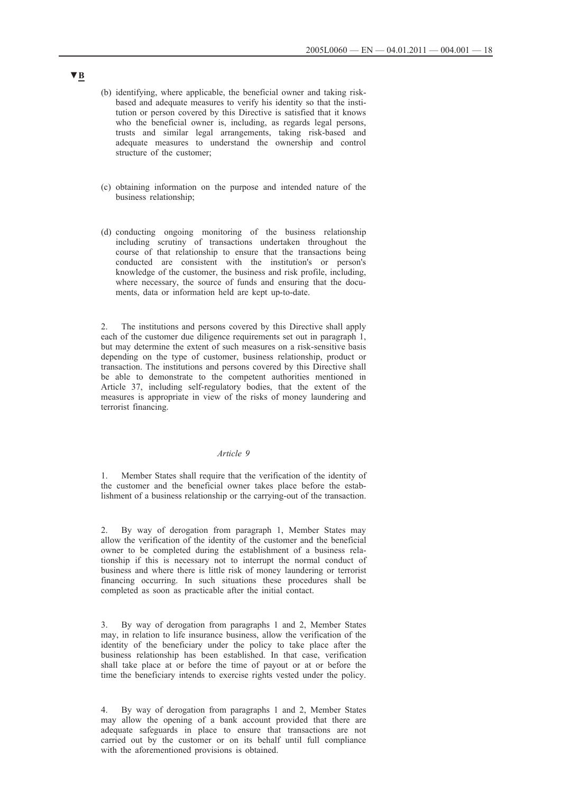- (b) identifying, where applicable, the beneficial owner and taking riskbased and adequate measures to verify his identity so that the institution or person covered by this Directive is satisfied that it knows who the beneficial owner is, including, as regards legal persons, trusts and similar legal arrangements, taking risk-based and adequate measures to understand the ownership and control structure of the customer;
- (c) obtaining information on the purpose and intended nature of the business relationship;
- (d) conducting ongoing monitoring of the business relationship including scrutiny of transactions undertaken throughout the course of that relationship to ensure that the transactions being conducted are consistent with the institution's or person's knowledge of the customer, the business and risk profile, including, where necessary, the source of funds and ensuring that the documents, data or information held are kept up-to-date.

2. The institutions and persons covered by this Directive shall apply each of the customer due diligence requirements set out in paragraph 1, but may determine the extent of such measures on a risk-sensitive basis depending on the type of customer, business relationship, product or transaction. The institutions and persons covered by this Directive shall be able to demonstrate to the competent authorities mentioned in Article 37, including self-regulatory bodies, that the extent of the measures is appropriate in view of the risks of money laundering and terrorist financing.

### *Article 9*

1. Member States shall require that the verification of the identity of the customer and the beneficial owner takes place before the establishment of a business relationship or the carrying-out of the transaction.

2. By way of derogation from paragraph 1, Member States may allow the verification of the identity of the customer and the beneficial owner to be completed during the establishment of a business relationship if this is necessary not to interrupt the normal conduct of business and where there is little risk of money laundering or terrorist financing occurring. In such situations these procedures shall be completed as soon as practicable after the initial contact.

3. By way of derogation from paragraphs 1 and 2, Member States may, in relation to life insurance business, allow the verification of the identity of the beneficiary under the policy to take place after the business relationship has been established. In that case, verification shall take place at or before the time of payout or at or before the time the beneficiary intends to exercise rights vested under the policy.

4. By way of derogation from paragraphs 1 and 2, Member States may allow the opening of a bank account provided that there are adequate safeguards in place to ensure that transactions are not carried out by the customer or on its behalf until full compliance with the aforementioned provisions is obtained.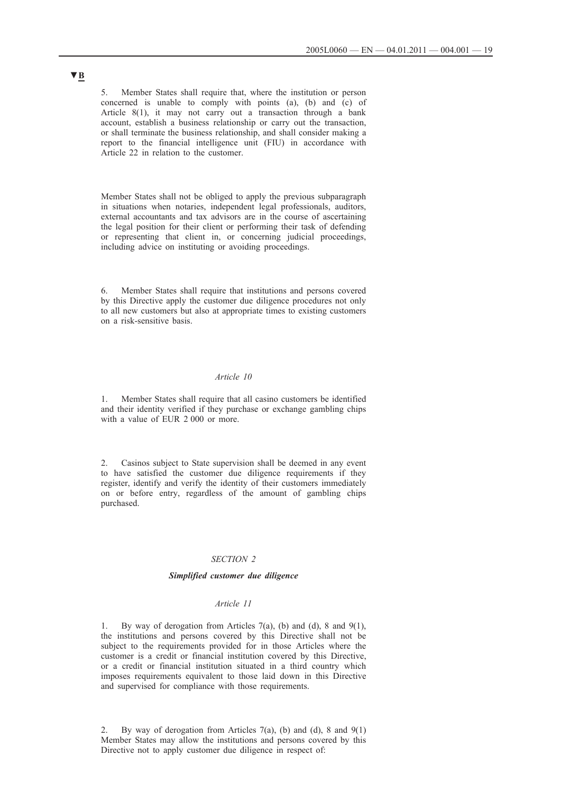5. Member States shall require that, where the institution or person concerned is unable to comply with points (a), (b) and (c) of Article 8(1), it may not carry out a transaction through a bank account, establish a business relationship or carry out the transaction, or shall terminate the business relationship, and shall consider making a report to the financial intelligence unit (FIU) in accordance with Article 22 in relation to the customer.

Member States shall not be obliged to apply the previous subparagraph in situations when notaries, independent legal professionals, auditors, external accountants and tax advisors are in the course of ascertaining the legal position for their client or performing their task of defending or representing that client in, or concerning judicial proceedings, including advice on instituting or avoiding proceedings.

6. Member States shall require that institutions and persons covered by this Directive apply the customer due diligence procedures not only to all new customers but also at appropriate times to existing customers on a risk-sensitive basis.

### *Article 10*

1. Member States shall require that all casino customers be identified and their identity verified if they purchase or exchange gambling chips with a value of EUR 2 000 or more.

2. Casinos subject to State supervision shall be deemed in any event to have satisfied the customer due diligence requirements if they register, identify and verify the identity of their customers immediately on or before entry, regardless of the amount of gambling chips purchased.

#### *SECTION 2*

#### *Simplified customer due diligence*

#### *Article 11*

1. By way of derogation from Articles 7(a), (b) and (d), 8 and 9(1), the institutions and persons covered by this Directive shall not be subject to the requirements provided for in those Articles where the customer is a credit or financial institution covered by this Directive, or a credit or financial institution situated in a third country which imposes requirements equivalent to those laid down in this Directive and supervised for compliance with those requirements.

2. By way of derogation from Articles  $7(a)$ , (b) and (d), 8 and  $9(1)$ Member States may allow the institutions and persons covered by this Directive not to apply customer due diligence in respect of: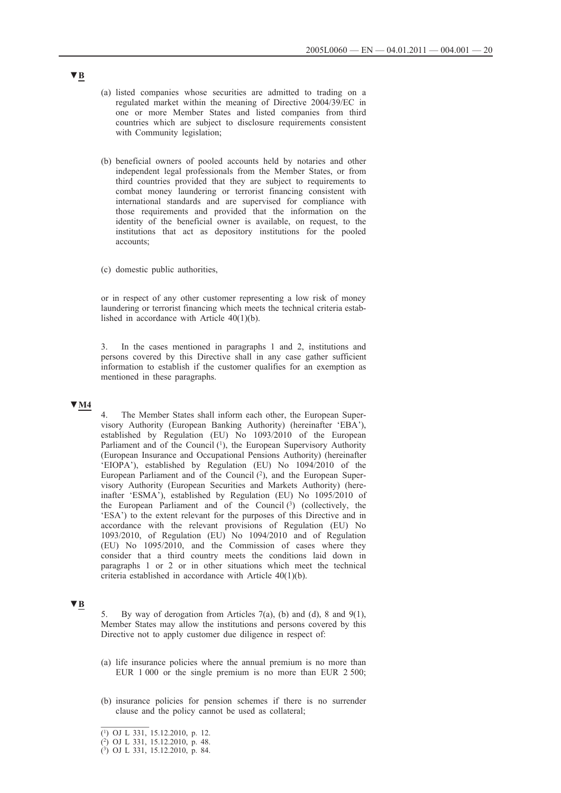- (a) listed companies whose securities are admitted to trading on a regulated market within the meaning of Directive 2004/39/EC in one or more Member States and listed companies from third countries which are subject to disclosure requirements consistent with Community legislation;
- (b) beneficial owners of pooled accounts held by notaries and other independent legal professionals from the Member States, or from third countries provided that they are subject to requirements to combat money laundering or terrorist financing consistent with international standards and are supervised for compliance with those requirements and provided that the information on the identity of the beneficial owner is available, on request, to the institutions that act as depository institutions for the pooled accounts;
- (c) domestic public authorities,

or in respect of any other customer representing a low risk of money laundering or terrorist financing which meets the technical criteria established in accordance with Article 40(1)(b).

3. In the cases mentioned in paragraphs 1 and 2, institutions and persons covered by this Directive shall in any case gather sufficient information to establish if the customer qualifies for an exemption as mentioned in these paragraphs.

### **▼M4**

The Member States shall inform each other, the European Supervisory Authority (European Banking Authority) (hereinafter 'EBA'), established by Regulation (EU) No 1093/2010 of the European Parliament and of the Council (1), the European Supervisory Authority (European Insurance and Occupational Pensions Authority) (hereinafter 'EIOPA'), established by Regulation (EU) No 1094/2010 of the European Parliament and of the Council  $(2)$ , and the European Supervisory Authority (European Securities and Markets Authority) (hereinafter 'ESMA'), established by Regulation (EU) No 1095/2010 of the European Parliament and of the Council  $(3)$  (collectively, the 'ESA') to the extent relevant for the purposes of this Directive and in accordance with the relevant provisions of Regulation (EU) No 1093/2010, of Regulation (EU) No 1094/2010 and of Regulation (EU) No 1095/2010, and the Commission of cases where they consider that a third country meets the conditions laid down in paragraphs 1 or 2 or in other situations which meet the technical criteria established in accordance with Article 40(1)(b).

### **▼B**

5. By way of derogation from Articles 7(a), (b) and (d), 8 and 9(1), Member States may allow the institutions and persons covered by this Directive not to apply customer due diligence in respect of:

- (a) life insurance policies where the annual premium is no more than EUR 1 000 or the single premium is no more than EUR 2 500;
- (b) insurance policies for pension schemes if there is no surrender clause and the policy cannot be used as collateral;

<sup>(1)</sup> OJ L 331, 15.12.2010, p. 12.

<sup>(2)</sup> OJ L 331, 15.12.2010, p. 48.

<sup>(3)</sup> OJ L 331, 15.12.2010, p. 84.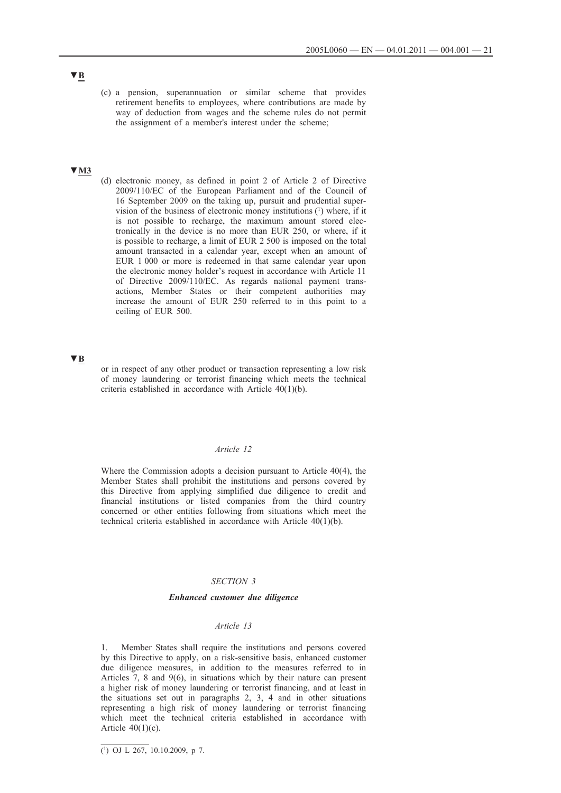(c) a pension, superannuation or similar scheme that provides retirement benefits to employees, where contributions are made by way of deduction from wages and the scheme rules do not permit the assignment of a member's interest under the scheme;

### **▼M3**

(d) electronic money, as defined in point 2 of Article 2 of Directive 2009/110/EC of the European Parliament and of the Council of 16 September 2009 on the taking up, pursuit and prudential supervision of the business of electronic money institutions (1) where, if it is not possible to recharge, the maximum amount stored electronically in the device is no more than EUR 250, or where, if it is possible to recharge, a limit of EUR 2 500 is imposed on the total amount transacted in a calendar year, except when an amount of EUR 1 000 or more is redeemed in that same calendar year upon the electronic money holder's request in accordance with Article 11 of Directive 2009/110/EC. As regards national payment transactions, Member States or their competent authorities may increase the amount of EUR 250 referred to in this point to a ceiling of EUR 500.

### **▼B**

or in respect of any other product or transaction representing a low risk of money laundering or terrorist financing which meets the technical criteria established in accordance with Article 40(1)(b).

### *Article 12*

Where the Commission adopts a decision pursuant to Article 40(4), the Member States shall prohibit the institutions and persons covered by this Directive from applying simplified due diligence to credit and financial institutions or listed companies from the third country concerned or other entities following from situations which meet the technical criteria established in accordance with Article 40(1)(b).

### *SECTION 3*

#### *Enhanced customer due diligence*

### *Article 13*

1. Member States shall require the institutions and persons covered by this Directive to apply, on a risk-sensitive basis, enhanced customer due diligence measures, in addition to the measures referred to in Articles 7, 8 and 9(6), in situations which by their nature can present a higher risk of money laundering or terrorist financing, and at least in the situations set out in paragraphs 2, 3, 4 and in other situations representing a high risk of money laundering or terrorist financing which meet the technical criteria established in accordance with Article  $40(1)(c)$ .

 $\overline{(^1)}$  OJ L 267, 10.10.2009, p 7.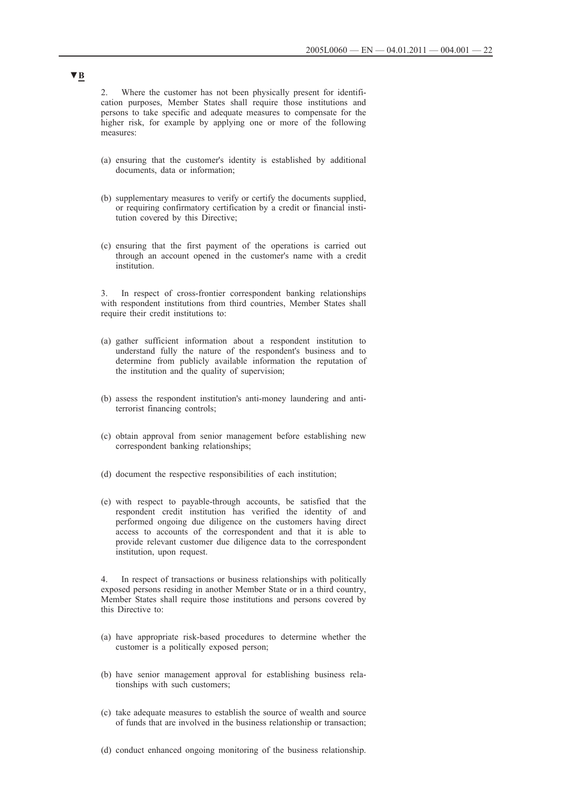2. Where the customer has not been physically present for identification purposes, Member States shall require those institutions and persons to take specific and adequate measures to compensate for the higher risk, for example by applying one or more of the following measures:

- (a) ensuring that the customer's identity is established by additional documents, data or information;
- (b) supplementary measures to verify or certify the documents supplied, or requiring confirmatory certification by a credit or financial institution covered by this Directive;
- (c) ensuring that the first payment of the operations is carried out through an account opened in the customer's name with a credit institution.

In respect of cross-frontier correspondent banking relationships with respondent institutions from third countries, Member States shall require their credit institutions to:

- (a) gather sufficient information about a respondent institution to understand fully the nature of the respondent's business and to determine from publicly available information the reputation of the institution and the quality of supervision;
- (b) assess the respondent institution's anti-money laundering and antiterrorist financing controls;
- (c) obtain approval from senior management before establishing new correspondent banking relationships;
- (d) document the respective responsibilities of each institution;
- (e) with respect to payable-through accounts, be satisfied that the respondent credit institution has verified the identity of and performed ongoing due diligence on the customers having direct access to accounts of the correspondent and that it is able to provide relevant customer due diligence data to the correspondent institution, upon request.

4. In respect of transactions or business relationships with politically exposed persons residing in another Member State or in a third country, Member States shall require those institutions and persons covered by this Directive to:

- (a) have appropriate risk-based procedures to determine whether the customer is a politically exposed person;
- (b) have senior management approval for establishing business relationships with such customers;
- (c) take adequate measures to establish the source of wealth and source of funds that are involved in the business relationship or transaction;
- (d) conduct enhanced ongoing monitoring of the business relationship.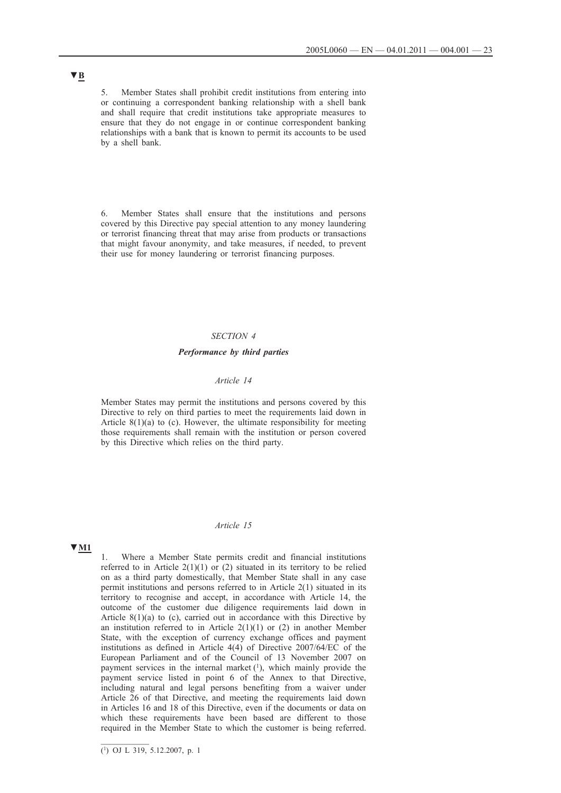5. Member States shall prohibit credit institutions from entering into or continuing a correspondent banking relationship with a shell bank and shall require that credit institutions take appropriate measures to ensure that they do not engage in or continue correspondent banking relationships with a bank that is known to permit its accounts to be used by a shell bank.

6. Member States shall ensure that the institutions and persons covered by this Directive pay special attention to any money laundering or terrorist financing threat that may arise from products or transactions that might favour anonymity, and take measures, if needed, to prevent their use for money laundering or terrorist financing purposes.

### *SECTION 4*

### *Performance by third parties*

#### *Article 14*

Member States may permit the institutions and persons covered by this Directive to rely on third parties to meet the requirements laid down in Article  $8(1)(a)$  to (c). However, the ultimate responsibility for meeting those requirements shall remain with the institution or person covered by this Directive which relies on the third party.

#### *Article 15*

### **▼M1**

1. Where a Member State permits credit and financial institutions referred to in Article  $2(1)(1)$  or  $(2)$  situated in its territory to be relied on as a third party domestically, that Member State shall in any case permit institutions and persons referred to in Article 2(1) situated in its territory to recognise and accept, in accordance with Article 14, the outcome of the customer due diligence requirements laid down in Article  $8(1)(a)$  to (c), carried out in accordance with this Directive by an institution referred to in Article  $2(1)(1)$  or  $(2)$  in another Member State, with the exception of currency exchange offices and payment institutions as defined in Article 4(4) of Directive 2007/64/EC of the European Parliament and of the Council of 13 November 2007 on payment services in the internal market  $(1)$ , which mainly provide the payment service listed in point 6 of the Annex to that Directive, including natural and legal persons benefiting from a waiver under Article 26 of that Directive, and meeting the requirements laid down in Articles 16 and 18 of this Directive, even if the documents or data on which these requirements have been based are different to those required in the Member State to which the customer is being referred.

 $\overline{(^1)}$  OJ L 319, 5.12.2007, p. 1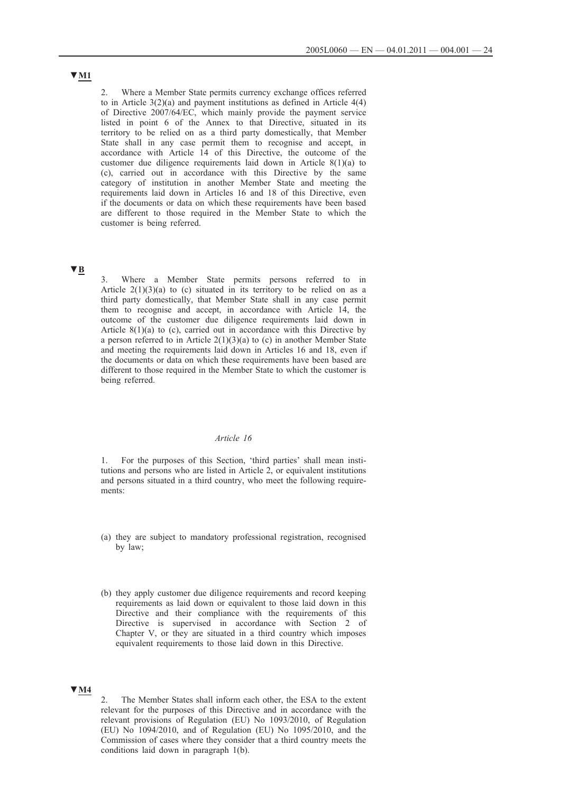2. Where a Member State permits currency exchange offices referred to in Article 3(2)(a) and payment institutions as defined in Article 4(4) of Directive 2007/64/EC, which mainly provide the payment service listed in point 6 of the Annex to that Directive, situated in its territory to be relied on as a third party domestically, that Member State shall in any case permit them to recognise and accept, in accordance with Article 14 of this Directive, the outcome of the customer due diligence requirements laid down in Article 8(1)(a) to (c), carried out in accordance with this Directive by the same category of institution in another Member State and meeting the requirements laid down in Articles 16 and 18 of this Directive, even if the documents or data on which these requirements have been based are different to those required in the Member State to which the customer is being referred.

## **▼B**

Where a Member State permits persons referred to in Article  $2(1)(3)(a)$  to (c) situated in its territory to be relied on as a third party domestically, that Member State shall in any case permit them to recognise and accept, in accordance with Article 14, the outcome of the customer due diligence requirements laid down in Article  $8(1)(a)$  to (c), carried out in accordance with this Directive by a person referred to in Article  $2(1)(3)(a)$  to (c) in another Member State and meeting the requirements laid down in Articles 16 and 18, even if the documents or data on which these requirements have been based are different to those required in the Member State to which the customer is being referred.

### *Article 16*

1. For the purposes of this Section, 'third parties' shall mean institutions and persons who are listed in Article 2, or equivalent institutions and persons situated in a third country, who meet the following requirements:

- (a) they are subject to mandatory professional registration, recognised by law;
- (b) they apply customer due diligence requirements and record keeping requirements as laid down or equivalent to those laid down in this Directive and their compliance with the requirements of this Directive is supervised in accordance with Section 2 of Chapter V, or they are situated in a third country which imposes equivalent requirements to those laid down in this Directive.

### **▼M4**

2. The Member States shall inform each other, the ESA to the extent relevant for the purposes of this Directive and in accordance with the relevant provisions of Regulation (EU) No 1093/2010, of Regulation (EU) No 1094/2010, and of Regulation (EU) No 1095/2010, and the Commission of cases where they consider that a third country meets the conditions laid down in paragraph 1(b).

### **▼M1**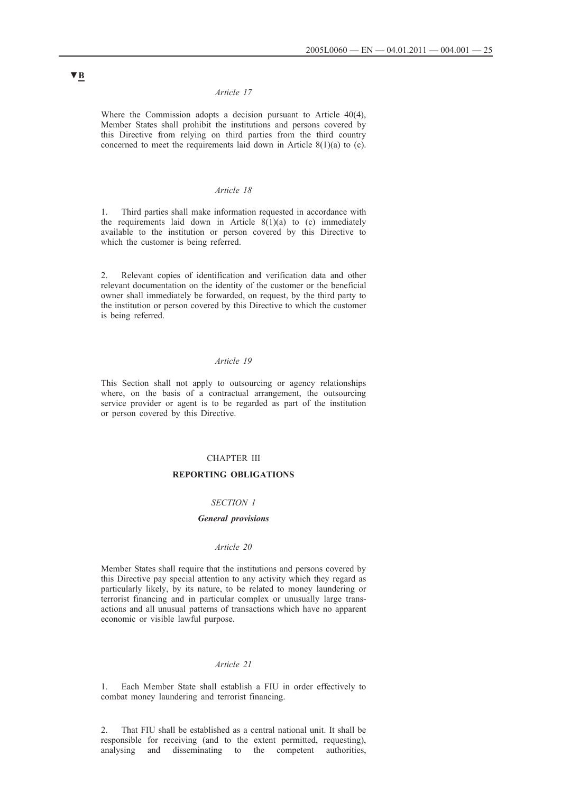### *Article 17*

Where the Commission adopts a decision pursuant to Article 40(4), Member States shall prohibit the institutions and persons covered by this Directive from relying on third parties from the third country concerned to meet the requirements laid down in Article 8(1)(a) to (c).

### *Article 18*

1. Third parties shall make information requested in accordance with the requirements laid down in Article  $8(1)(a)$  to (c) immediately available to the institution or person covered by this Directive to which the customer is being referred.

2. Relevant copies of identification and verification data and other relevant documentation on the identity of the customer or the beneficial owner shall immediately be forwarded, on request, by the third party to the institution or person covered by this Directive to which the customer is being referred.

#### *Article 19*

This Section shall not apply to outsourcing or agency relationships where, on the basis of a contractual arrangement, the outsourcing service provider or agent is to be regarded as part of the institution or person covered by this Directive.

## CHAPTER III

### **REPORTING OBLIGATIONS**

### *SECTION 1*

#### *General provisions*

#### *Article 20*

Member States shall require that the institutions and persons covered by this Directive pay special attention to any activity which they regard as particularly likely, by its nature, to be related to money laundering or terrorist financing and in particular complex or unusually large transactions and all unusual patterns of transactions which have no apparent economic or visible lawful purpose.

### *Article 21*

1. Each Member State shall establish a FIU in order effectively to combat money laundering and terrorist financing.

2. That FIU shall be established as a central national unit. It shall be responsible for receiving (and to the extent permitted, requesting), analysing and disseminating to the competent authorities,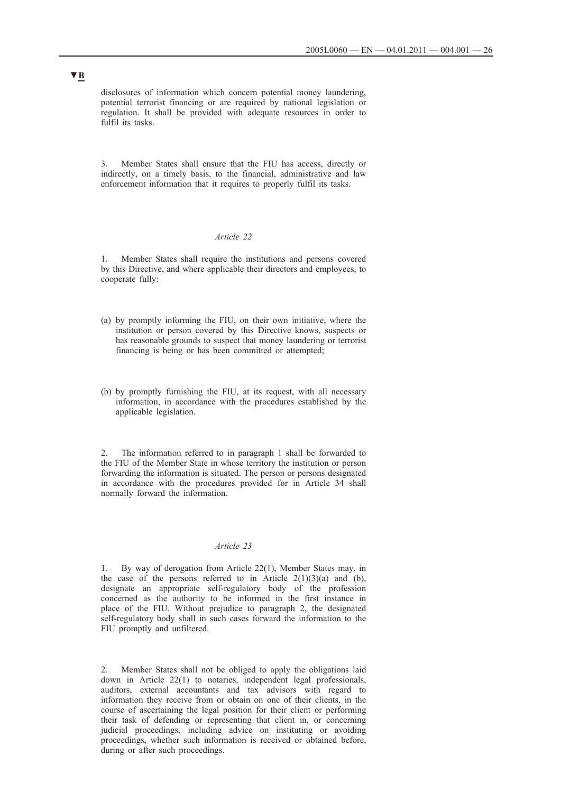disclosures of information which concern potential money laundering, potential terrorist financing or are required by national legislation or regulation. It shall be provided with adequate resources in order to fulfil its tasks.

3. Member States shall ensure that the FIU has access, directly or indirectly, on a timely basis, to the financial, administrative and law enforcement information that it requires to properly fulfil its tasks.

## *Article 22*

1. Member States shall require the institutions and persons covered by this Directive, and where applicable their directors and employees, to cooperate fully:

- (a) by promptly informing the FIU, on their own initiative, where the institution or person covered by this Directive knows, suspects or has reasonable grounds to suspect that money laundering or terrorist financing is being or has been committed or attempted;
- (b) by promptly furnishing the FIU, at its request, with all necessary information, in accordance with the procedures established by the applicable legislation.

2. The information referred to in paragraph 1 shall be forwarded to the FIU of the Member State in whose territory the institution or person forwarding the information is situated. The person or persons designated in accordance with the procedures provided for in Article 34 shall normally forward the information.

#### *Article 23*

1. By way of derogation from Article 22(1), Member States may, in the case of the persons referred to in Article  $2(1)(3)(a)$  and (b), designate an appropriate self-regulatory body of the profession concerned as the authority to be informed in the first instance in place of the FIU. Without prejudice to paragraph 2, the designated self-regulatory body shall in such cases forward the information to the FIU promptly and unfiltered.

2. Member States shall not be obliged to apply the obligations laid down in Article 22(1) to notaries, independent legal professionals, auditors, external accountants and tax advisors with regard to information they receive from or obtain on one of their clients, in the course of ascertaining the legal position for their client or performing their task of defending or representing that client in, or concerning judicial proceedings, including advice on instituting or avoiding proceedings, whether such information is received or obtained before, during or after such proceedings.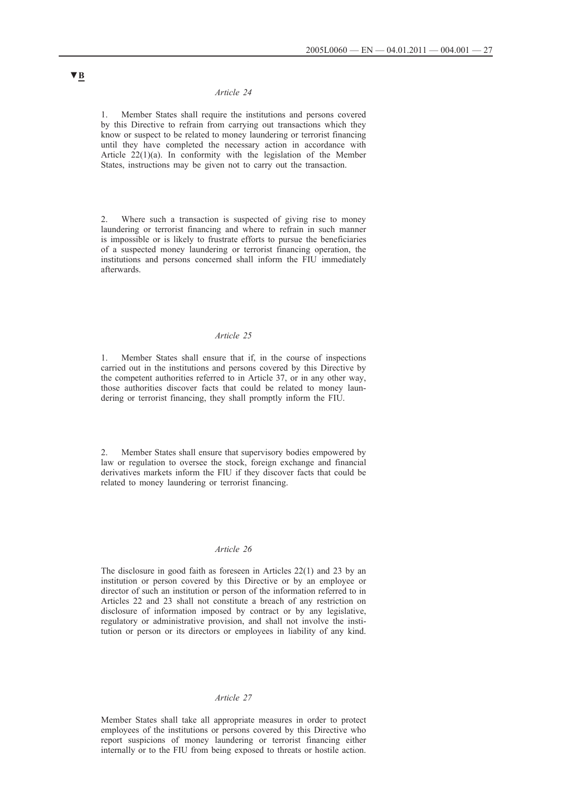### *Article 24*

1. Member States shall require the institutions and persons covered by this Directive to refrain from carrying out transactions which they know or suspect to be related to money laundering or terrorist financing until they have completed the necessary action in accordance with Article 22(1)(a). In conformity with the legislation of the Member States, instructions may be given not to carry out the transaction.

2. Where such a transaction is suspected of giving rise to money laundering or terrorist financing and where to refrain in such manner is impossible or is likely to frustrate efforts to pursue the beneficiaries of a suspected money laundering or terrorist financing operation, the institutions and persons concerned shall inform the FIU immediately afterwards.

### *Article 25*

1. Member States shall ensure that if, in the course of inspections carried out in the institutions and persons covered by this Directive by the competent authorities referred to in Article 37, or in any other way, those authorities discover facts that could be related to money laundering or terrorist financing, they shall promptly inform the FIU.

2. Member States shall ensure that supervisory bodies empowered by law or regulation to oversee the stock, foreign exchange and financial derivatives markets inform the FIU if they discover facts that could be related to money laundering or terrorist financing.

#### *Article 26*

The disclosure in good faith as foreseen in Articles 22(1) and 23 by an institution or person covered by this Directive or by an employee or director of such an institution or person of the information referred to in Articles 22 and 23 shall not constitute a breach of any restriction on disclosure of information imposed by contract or by any legislative, regulatory or administrative provision, and shall not involve the institution or person or its directors or employees in liability of any kind.

#### *Article 27*

Member States shall take all appropriate measures in order to protect employees of the institutions or persons covered by this Directive who report suspicions of money laundering or terrorist financing either internally or to the FIU from being exposed to threats or hostile action.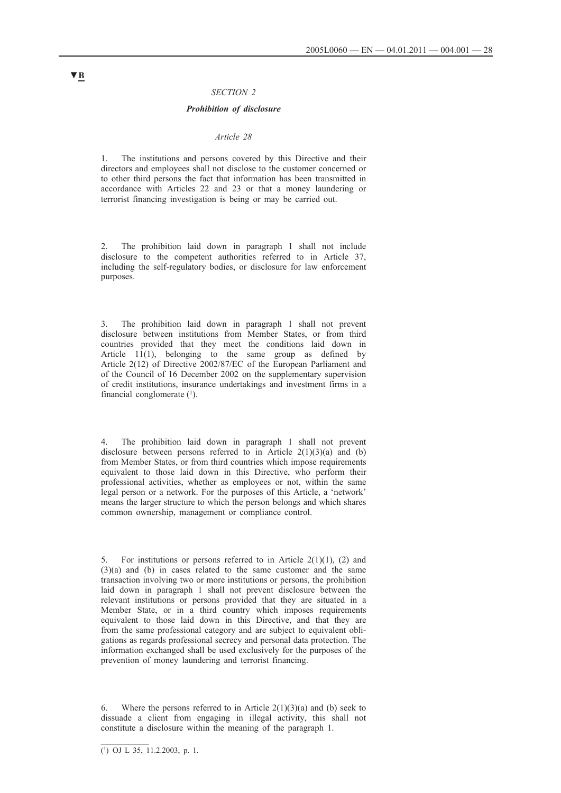#### *SECTION 2*

#### *Prohibition of disclosure*

#### *Article 28*

1. The institutions and persons covered by this Directive and their directors and employees shall not disclose to the customer concerned or to other third persons the fact that information has been transmitted in accordance with Articles 22 and 23 or that a money laundering or terrorist financing investigation is being or may be carried out.

2. The prohibition laid down in paragraph 1 shall not include disclosure to the competent authorities referred to in Article 37, including the self-regulatory bodies, or disclosure for law enforcement purposes.

3. The prohibition laid down in paragraph 1 shall not prevent disclosure between institutions from Member States, or from third countries provided that they meet the conditions laid down in Article 11(1), belonging to the same group as defined by Article 2(12) of Directive 2002/87/EC of the European Parliament and of the Council of 16 December 2002 on the supplementary supervision of credit institutions, insurance undertakings and investment firms in a financial conglomerate  $(1)$ .

4. The prohibition laid down in paragraph 1 shall not prevent disclosure between persons referred to in Article  $2(1)(3)(a)$  and (b) from Member States, or from third countries which impose requirements equivalent to those laid down in this Directive, who perform their professional activities, whether as employees or not, within the same legal person or a network. For the purposes of this Article, a 'network' means the larger structure to which the person belongs and which shares common ownership, management or compliance control.

For institutions or persons referred to in Article  $2(1)(1)$ ,  $(2)$  and (3)(a) and (b) in cases related to the same customer and the same transaction involving two or more institutions or persons, the prohibition laid down in paragraph 1 shall not prevent disclosure between the relevant institutions or persons provided that they are situated in a Member State, or in a third country which imposes requirements equivalent to those laid down in this Directive, and that they are from the same professional category and are subject to equivalent obligations as regards professional secrecy and personal data protection. The information exchanged shall be used exclusively for the purposes of the prevention of money laundering and terrorist financing.

Where the persons referred to in Article  $2(1)(3)(a)$  and (b) seek to dissuade a client from engaging in illegal activity, this shall not constitute a disclosure within the meaning of the paragraph 1.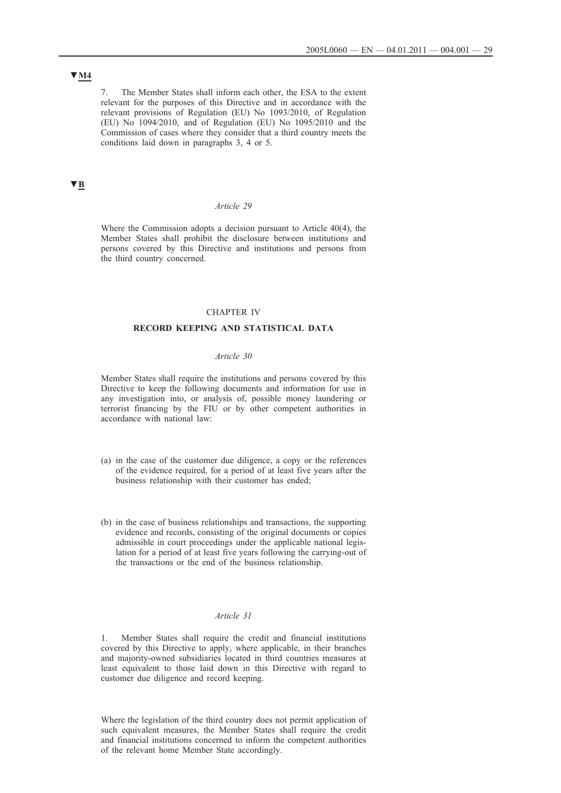## **▼M4**

7. The Member States shall inform each other, the ESA to the extent relevant for the purposes of this Directive and in accordance with the relevant provisions of Regulation (EU) No 1093/2010, of Regulation (EU) No 1094/2010, and of Regulation (EU) No 1095/2010 and the Commission of cases where they consider that a third country meets the conditions laid down in paragraphs 3, 4 or 5.

### **▼B**

#### *Article 29*

Where the Commission adopts a decision pursuant to Article 40(4), the Member States shall prohibit the disclosure between institutions and persons covered by this Directive and institutions and persons from the third country concerned.

#### CHAPTER IV

### **RECORD KEEPING AND STATISTICAL DATA**

#### *Article 30*

Member States shall require the institutions and persons covered by this Directive to keep the following documents and information for use in any investigation into, or analysis of, possible money laundering or terrorist financing by the FIU or by other competent authorities in accordance with national law:

- (a) in the case of the customer due diligence, a copy or the references of the evidence required, for a period of at least five years after the business relationship with their customer has ended;
- (b) in the case of business relationships and transactions, the supporting evidence and records, consisting of the original documents or copies admissible in court proceedings under the applicable national legislation for a period of at least five years following the carrying-out of the transactions or the end of the business relationship.

#### *Article 31*

1. Member States shall require the credit and financial institutions covered by this Directive to apply, where applicable, in their branches and majority-owned subsidiaries located in third countries measures at least equivalent to those laid down in this Directive with regard to customer due diligence and record keeping.

Where the legislation of the third country does not permit application of such equivalent measures, the Member States shall require the credit and financial institutions concerned to inform the competent authorities of the relevant home Member State accordingly.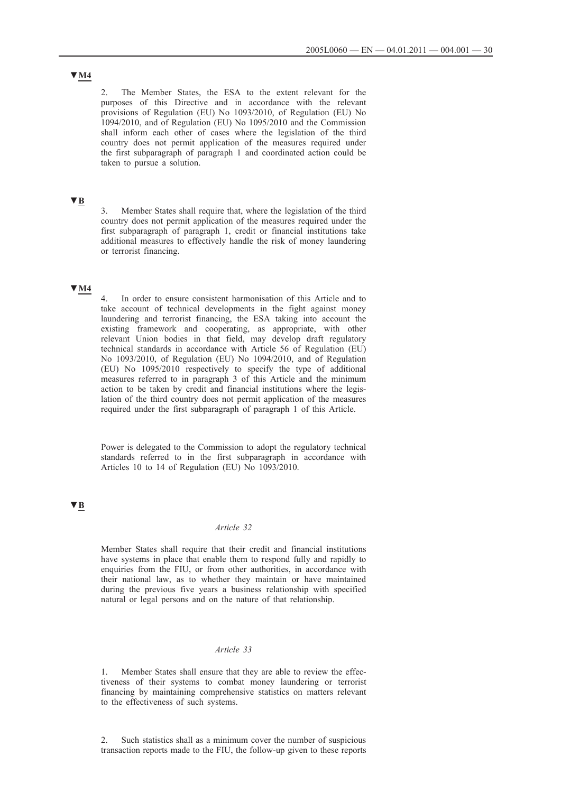### **▼M4**

2. The Member States, the ESA to the extent relevant for the purposes of this Directive and in accordance with the relevant provisions of Regulation (EU) No 1093/2010, of Regulation (EU) No 1094/2010, and of Regulation (EU) No 1095/2010 and the Commission shall inform each other of cases where the legislation of the third country does not permit application of the measures required under the first subparagraph of paragraph 1 and coordinated action could be taken to pursue a solution.

## **▼B**

3. Member States shall require that, where the legislation of the third country does not permit application of the measures required under the first subparagraph of paragraph 1, credit or financial institutions take additional measures to effectively handle the risk of money laundering or terrorist financing.

### **▼M4**

In order to ensure consistent harmonisation of this Article and to take account of technical developments in the fight against money laundering and terrorist financing, the ESA taking into account the existing framework and cooperating, as appropriate, with other relevant Union bodies in that field, may develop draft regulatory technical standards in accordance with Article 56 of Regulation (EU) No 1093/2010, of Regulation (EU) No 1094/2010, and of Regulation (EU) No 1095/2010 respectively to specify the type of additional measures referred to in paragraph 3 of this Article and the minimum action to be taken by credit and financial institutions where the legislation of the third country does not permit application of the measures required under the first subparagraph of paragraph 1 of this Article.

Power is delegated to the Commission to adopt the regulatory technical standards referred to in the first subparagraph in accordance with Articles 10 to 14 of Regulation (EU) No 1093/2010.

## **▼B**

#### *Article 32*

Member States shall require that their credit and financial institutions have systems in place that enable them to respond fully and rapidly to enquiries from the FIU, or from other authorities, in accordance with their national law, as to whether they maintain or have maintained during the previous five years a business relationship with specified natural or legal persons and on the nature of that relationship.

### *Article 33*

1. Member States shall ensure that they are able to review the effectiveness of their systems to combat money laundering or terrorist financing by maintaining comprehensive statistics on matters relevant to the effectiveness of such systems.

2. Such statistics shall as a minimum cover the number of suspicious transaction reports made to the FIU, the follow-up given to these reports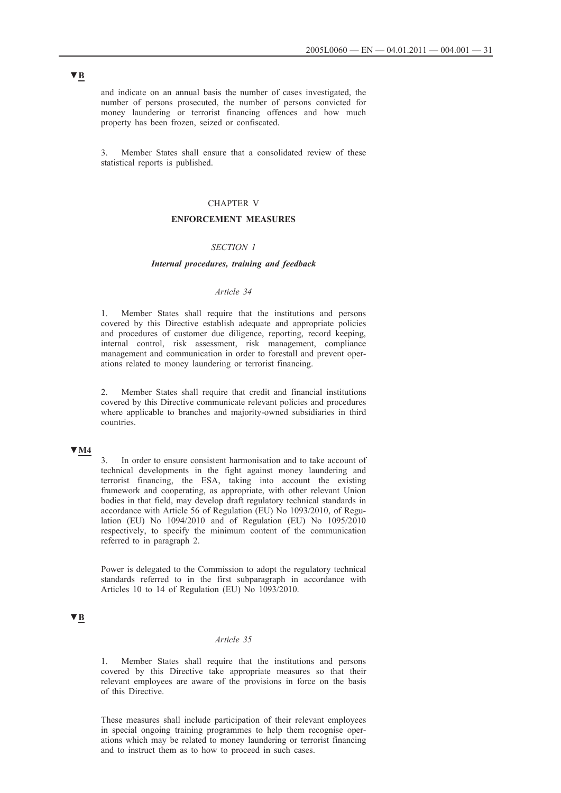and indicate on an annual basis the number of cases investigated, the number of persons prosecuted, the number of persons convicted for money laundering or terrorist financing offences and how much property has been frozen, seized or confiscated.

3. Member States shall ensure that a consolidated review of these statistical reports is published.

### CHAPTER V

### **ENFORCEMENT MEASURES**

#### *SECTION 1*

### *Internal procedures, training and feedback*

#### *Article 34*

1. Member States shall require that the institutions and persons covered by this Directive establish adequate and appropriate policies and procedures of customer due diligence, reporting, record keeping, internal control, risk assessment, risk management, compliance management and communication in order to forestall and prevent operations related to money laundering or terrorist financing.

2. Member States shall require that credit and financial institutions covered by this Directive communicate relevant policies and procedures where applicable to branches and majority-owned subsidiaries in third countries.

## **▼M4**

3. In order to ensure consistent harmonisation and to take account of technical developments in the fight against money laundering and terrorist financing, the ESA, taking into account the existing framework and cooperating, as appropriate, with other relevant Union bodies in that field, may develop draft regulatory technical standards in accordance with Article 56 of Regulation (EU) No 1093/2010, of Regulation (EU) No 1094/2010 and of Regulation (EU) No 1095/2010 respectively, to specify the minimum content of the communication referred to in paragraph 2.

Power is delegated to the Commission to adopt the regulatory technical standards referred to in the first subparagraph in accordance with Articles 10 to 14 of Regulation (EU) No 1093/2010.

### **▼B**

### *Article 35*

1. Member States shall require that the institutions and persons covered by this Directive take appropriate measures so that their relevant employees are aware of the provisions in force on the basis of this Directive.

These measures shall include participation of their relevant employees in special ongoing training programmes to help them recognise operations which may be related to money laundering or terrorist financing and to instruct them as to how to proceed in such cases.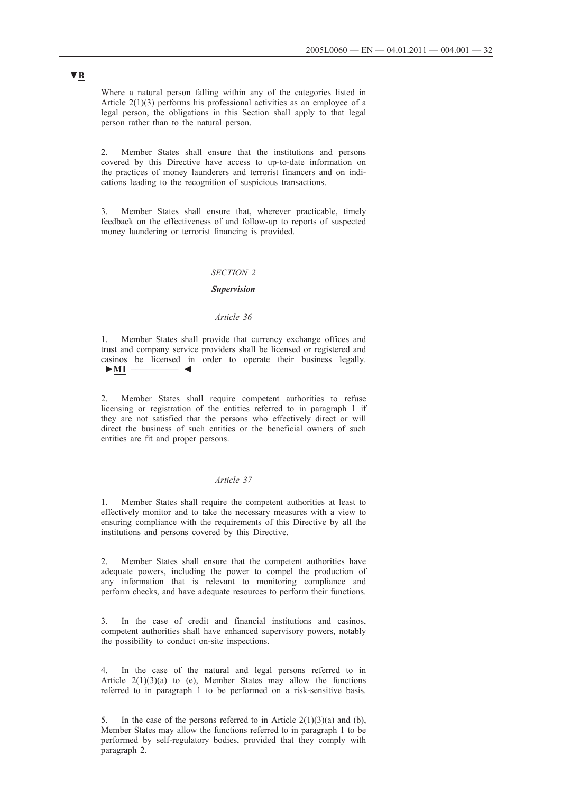Where a natural person falling within any of the categories listed in Article 2(1)(3) performs his professional activities as an employee of a legal person, the obligations in this Section shall apply to that legal person rather than to the natural person.

2. Member States shall ensure that the institutions and persons covered by this Directive have access to up-to-date information on the practices of money launderers and terrorist financers and on indications leading to the recognition of suspicious transactions.

3. Member States shall ensure that, wherever practicable, timely feedback on the effectiveness of and follow-up to reports of suspected money laundering or terrorist financing is provided.

### *SECTION 2*

### *Supervision*

### *Article 36*

1. Member States shall provide that currency exchange offices and trust and company service providers shall be licensed or registered and casinos be licensed in order to operate their business legally.  $\blacktriangleright$  **M1**  $\cdot$ 

Member States shall require competent authorities to refuse licensing or registration of the entities referred to in paragraph 1 if they are not satisfied that the persons who effectively direct or will direct the business of such entities or the beneficial owners of such entities are fit and proper persons.

### *Article 37*

1. Member States shall require the competent authorities at least to effectively monitor and to take the necessary measures with a view to ensuring compliance with the requirements of this Directive by all the institutions and persons covered by this Directive.

2. Member States shall ensure that the competent authorities have adequate powers, including the power to compel the production of any information that is relevant to monitoring compliance and perform checks, and have adequate resources to perform their functions.

3. In the case of credit and financial institutions and casinos, competent authorities shall have enhanced supervisory powers, notably the possibility to conduct on-site inspections.

In the case of the natural and legal persons referred to in Article  $2(1)(3)(a)$  to (e), Member States may allow the functions referred to in paragraph 1 to be performed on a risk-sensitive basis.

<sup>5.</sup> In the case of the persons referred to in Article  $2(1)(3)(a)$  and (b), Member States may allow the functions referred to in paragraph 1 to be performed by self-regulatory bodies, provided that they comply with paragraph 2.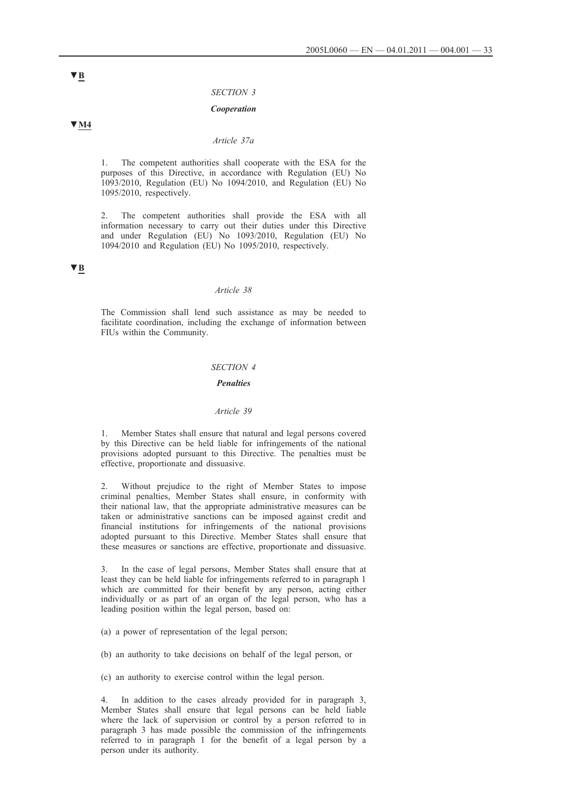#### *SECTION 3*

#### *Cooperation*

### **▼M4**

### *Article 37a*

1. The competent authorities shall cooperate with the ESA for the purposes of this Directive, in accordance with Regulation (EU) No 1093/2010, Regulation (EU) No 1094/2010, and Regulation (EU) No 1095/2010, respectively.

2. The competent authorities shall provide the ESA with all information necessary to carry out their duties under this Directive and under Regulation (EU) No 1093/2010, Regulation (EU) No 1094/2010 and Regulation (EU) No 1095/2010, respectively.

### **▼B**

#### *Article 38*

The Commission shall lend such assistance as may be needed to facilitate coordination, including the exchange of information between FIUs within the Community.

#### *SECTION 4*

#### *Penalties*

### *Article 39*

1. Member States shall ensure that natural and legal persons covered by this Directive can be held liable for infringements of the national provisions adopted pursuant to this Directive. The penalties must be effective, proportionate and dissuasive.

2. Without prejudice to the right of Member States to impose criminal penalties, Member States shall ensure, in conformity with their national law, that the appropriate administrative measures can be taken or administrative sanctions can be imposed against credit and financial institutions for infringements of the national provisions adopted pursuant to this Directive. Member States shall ensure that these measures or sanctions are effective, proportionate and dissuasive.

3. In the case of legal persons, Member States shall ensure that at least they can be held liable for infringements referred to in paragraph 1 which are committed for their benefit by any person, acting either individually or as part of an organ of the legal person, who has a leading position within the legal person, based on:

- (a) a power of representation of the legal person;
- (b) an authority to take decisions on behalf of the legal person, or

(c) an authority to exercise control within the legal person.

4. In addition to the cases already provided for in paragraph 3, Member States shall ensure that legal persons can be held liable where the lack of supervision or control by a person referred to in paragraph 3 has made possible the commission of the infringements referred to in paragraph 1 for the benefit of a legal person by a person under its authority.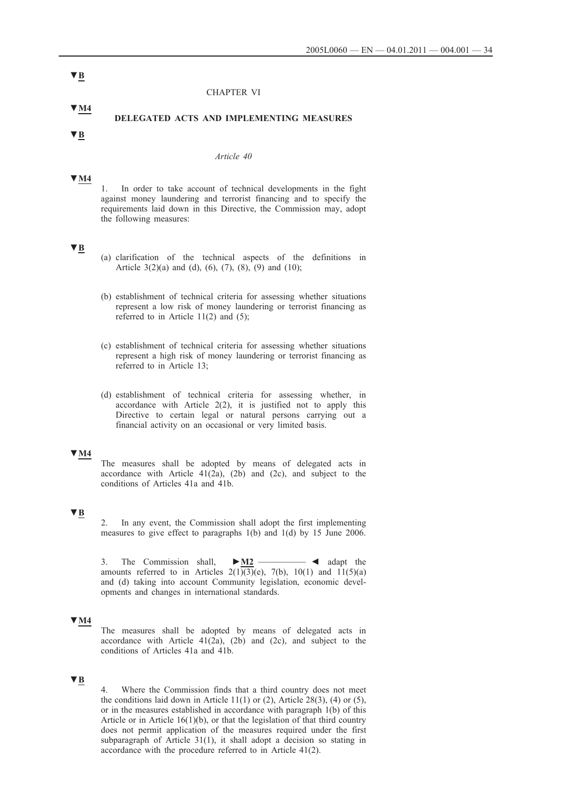#### CHAPTER VI

### **▼M4 DELEGATED ACTS AND IMPLEMENTING MEASURES**

### **▼B**

#### *Article 40*

#### **▼M4**

1. In order to take account of technical developments in the fight against money laundering and terrorist financing and to specify the requirements laid down in this Directive, the Commission may, adopt the following measures:

## **▼B**

- (a) clarification of the technical aspects of the definitions in Article 3(2)(a) and (d), (6), (7), (8), (9) and (10);
- (b) establishment of technical criteria for assessing whether situations represent a low risk of money laundering or terrorist financing as referred to in Article 11(2) and (5);
- (c) establishment of technical criteria for assessing whether situations represent a high risk of money laundering or terrorist financing as referred to in Article 13;
- (d) establishment of technical criteria for assessing whether, in accordance with Article 2(2), it is justified not to apply this Directive to certain legal or natural persons carrying out a financial activity on an occasional or very limited basis.

#### **▼M4**

The measures shall be adopted by means of delegated acts in accordance with Article  $41(2a)$ ,  $(2b)$  and  $(2c)$ , and subject to the conditions of Articles 41a and 41b.

### **▼B**

2. In any event, the Commission shall adopt the first implementing measures to give effect to paragraphs 1(b) and 1(d) by 15 June 2006.

3. The Commission shall, **►M2** \_\_\_\_\_\_\_\_\_\_ ◄ adapt the amounts referred to in Articles  $2(1)(3)(e)$ , 7(b), 10(1) and  $11(5)(a)$ and (d) taking into account Community legislation, economic developments and changes in international standards.

#### **▼M4**

The measures shall be adopted by means of delegated acts in accordance with Article  $41(2a)$ ,  $(2b)$  and  $(2c)$ , and subject to the conditions of Articles 41a and 41b.

### **▼B**

4. Where the Commission finds that a third country does not meet the conditions laid down in Article 11(1) or (2), Article 28(3), (4) or (5), or in the measures established in accordance with paragraph 1(b) of this Article or in Article 16(1)(b), or that the legislation of that third country does not permit application of the measures required under the first subparagraph of Article 31(1), it shall adopt a decision so stating in accordance with the procedure referred to in Article 41(2).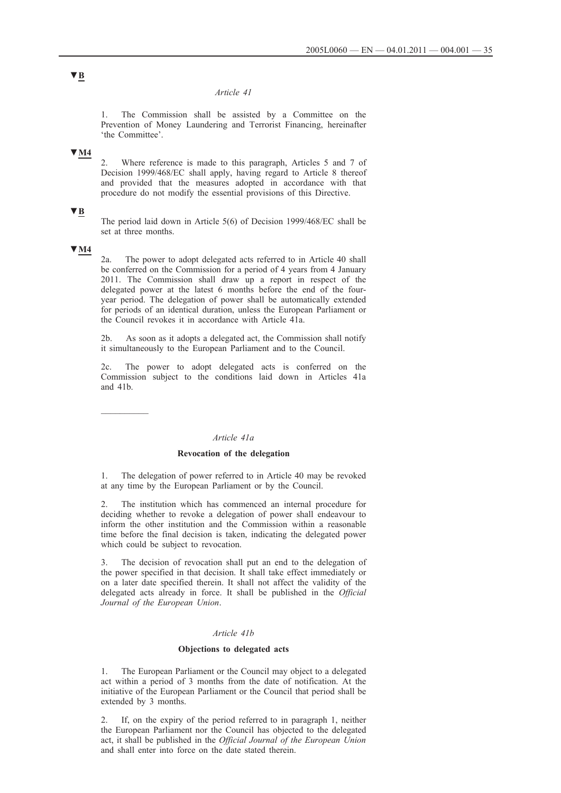#### *Article 41*

The Commission shall be assisted by a Committee on the Prevention of Money Laundering and Terrorist Financing, hereinafter 'the Committee'.

### **▼M4**

2. Where reference is made to this paragraph, Articles 5 and 7 of Decision 1999/468/EC shall apply, having regard to Article 8 thereof and provided that the measures adopted in accordance with that procedure do not modify the essential provisions of this Directive.

### **▼B**

The period laid down in Article 5(6) of Decision 1999/468/EC shall be set at three months.

#### **▼M4**

 $\frac{1}{2}$ 

2a. The power to adopt delegated acts referred to in Article 40 shall be conferred on the Commission for a period of 4 years from 4 January 2011. The Commission shall draw up a report in respect of the delegated power at the latest 6 months before the end of the fouryear period. The delegation of power shall be automatically extended for periods of an identical duration, unless the European Parliament or the Council revokes it in accordance with Article 41a.

2b. As soon as it adopts a delegated act, the Commission shall notify it simultaneously to the European Parliament and to the Council.

2c. The power to adopt delegated acts is conferred on the Commission subject to the conditions laid down in Articles 41a and 41b.

### *Article 41a*

#### **Revocation of the delegation**

1. The delegation of power referred to in Article 40 may be revoked at any time by the European Parliament or by the Council.

2. The institution which has commenced an internal procedure for deciding whether to revoke a delegation of power shall endeavour to inform the other institution and the Commission within a reasonable time before the final decision is taken, indicating the delegated power which could be subject to revocation.

The decision of revocation shall put an end to the delegation of the power specified in that decision. It shall take effect immediately or on a later date specified therein. It shall not affect the validity of the delegated acts already in force. It shall be published in the *Official Journal of the European Union*.

### *Article 41b*

#### **Objections to delegated acts**

1. The European Parliament or the Council may object to a delegated act within a period of 3 months from the date of notification. At the initiative of the European Parliament or the Council that period shall be extended by 3 months.

2. If, on the expiry of the period referred to in paragraph 1, neither the European Parliament nor the Council has objected to the delegated act, it shall be published in the *Official Journal of the European Union* and shall enter into force on the date stated therein.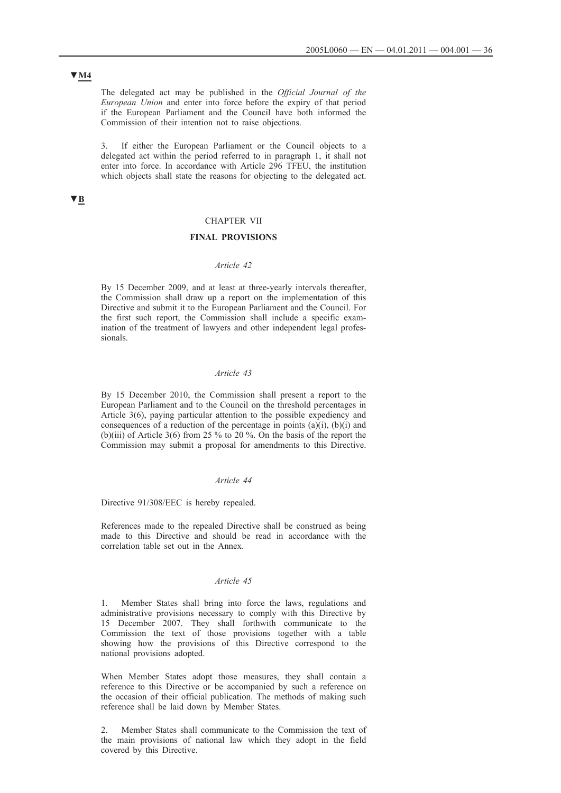The delegated act may be published in the *Official Journal of the European Union* and enter into force before the expiry of that period if the European Parliament and the Council have both informed the Commission of their intention not to raise objections.

3. If either the European Parliament or the Council objects to a delegated act within the period referred to in paragraph 1, it shall not enter into force. In accordance with Article 296 TFEU, the institution which objects shall state the reasons for objecting to the delegated act.

## **▼B**

### CHAPTER VII

### **FINAL PROVISIONS**

### *Article 42*

By 15 December 2009, and at least at three-yearly intervals thereafter, the Commission shall draw up a report on the implementation of this Directive and submit it to the European Parliament and the Council. For the first such report, the Commission shall include a specific examination of the treatment of lawyers and other independent legal professionals.

#### *Article 43*

By 15 December 2010, the Commission shall present a report to the European Parliament and to the Council on the threshold percentages in Article 3(6), paying particular attention to the possible expediency and consequences of a reduction of the percentage in points  $(a)(i)$ ,  $(b)(i)$  and (b)(iii) of Article 3(6) from 25 % to 20 %. On the basis of the report the Commission may submit a proposal for amendments to this Directive.

#### *Article 44*

Directive 91/308/EEC is hereby repealed.

References made to the repealed Directive shall be construed as being made to this Directive and should be read in accordance with the correlation table set out in the Annex.

### *Article 45*

1. Member States shall bring into force the laws, regulations and administrative provisions necessary to comply with this Directive by 15 December 2007. They shall forthwith communicate to the Commission the text of those provisions together with a table showing how the provisions of this Directive correspond to the national provisions adopted.

When Member States adopt those measures, they shall contain a reference to this Directive or be accompanied by such a reference on the occasion of their official publication. The methods of making such reference shall be laid down by Member States.

2. Member States shall communicate to the Commission the text of the main provisions of national law which they adopt in the field covered by this Directive.

## **▼M4**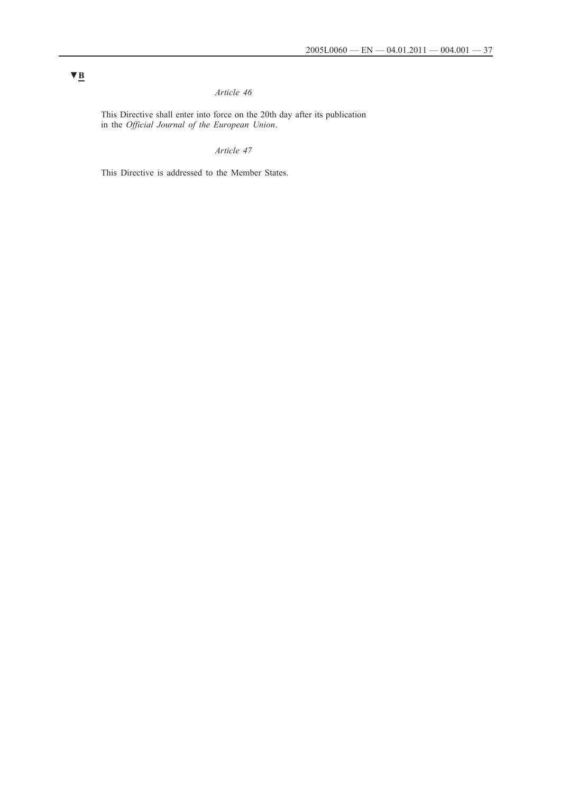## *Article 46*

This Directive shall enter into force on the 20th day after its publication in the *Official Journal of the European Union*.

## *Article 47*

This Directive is addressed to the Member States.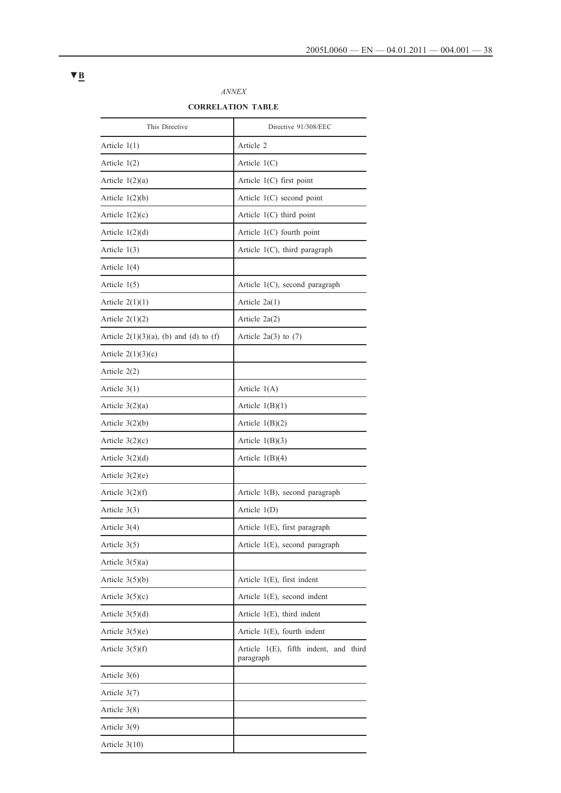## *ANNEX*

## **CORRELATION TABLE**

| This Directive                            | Directive 91/308/EEC                                  |  |  |
|-------------------------------------------|-------------------------------------------------------|--|--|
| Article $1(1)$                            | Article 2                                             |  |  |
| Article $1(2)$                            | Article $1(C)$                                        |  |  |
| Article $1(2)(a)$                         | Article $1(C)$ first point                            |  |  |
| Article $1(2)(b)$                         | Article $1(C)$ second point                           |  |  |
| Article $1(2)(c)$                         | Article $1(C)$ third point                            |  |  |
| Article $1(2)(d)$                         | Article $1(C)$ fourth point                           |  |  |
| Article $1(3)$                            | Article 1(C), third paragraph                         |  |  |
| Article $1(4)$                            |                                                       |  |  |
| Article $1(5)$                            | Article 1(C), second paragraph                        |  |  |
| Article $2(1)(1)$                         | Article $2a(1)$                                       |  |  |
| Article $2(1)(2)$                         | Article $2a(2)$                                       |  |  |
| Article $2(1)(3)(a)$ , (b) and (d) to (f) | Article $2a(3)$ to $(7)$                              |  |  |
| Article $2(1)(3)(c)$                      |                                                       |  |  |
| Article $2(2)$                            |                                                       |  |  |
| Article $3(1)$                            | Article $1(A)$                                        |  |  |
| Article $3(2)(a)$                         | Article $1(B)(1)$                                     |  |  |
| Article $3(2)(b)$                         | Article $1(B)(2)$                                     |  |  |
| Article $3(2)(c)$                         | Article $1(B)(3)$                                     |  |  |
| Article $3(2)(d)$                         | Article $1(B)(4)$                                     |  |  |
| Article $3(2)(e)$                         |                                                       |  |  |
| Article $3(2)(f)$                         | Article 1(B), second paragraph                        |  |  |
| Article $3(3)$                            | Article $1(D)$                                        |  |  |
| Article $3(4)$                            | Article 1(E), first paragraph                         |  |  |
| Article $3(5)$                            | Article 1(E), second paragraph                        |  |  |
| Article $3(5)(a)$                         |                                                       |  |  |
| Article $3(5)(b)$                         | Article $1(E)$ , first indent                         |  |  |
| Article $3(5)(c)$                         | Article 1(E), second indent                           |  |  |
| Article $3(5)(d)$                         | Article $1(E)$ , third indent                         |  |  |
| Article $3(5)(e)$                         | Article $1(E)$ , fourth indent                        |  |  |
| Article $3(5)(f)$                         | Article $1(E)$ , fifth indent, and third<br>paragraph |  |  |
| Article $3(6)$                            |                                                       |  |  |
| Article $3(7)$                            |                                                       |  |  |
| Article $3(8)$                            |                                                       |  |  |
| Article $3(9)$                            |                                                       |  |  |
| Article $3(10)$                           |                                                       |  |  |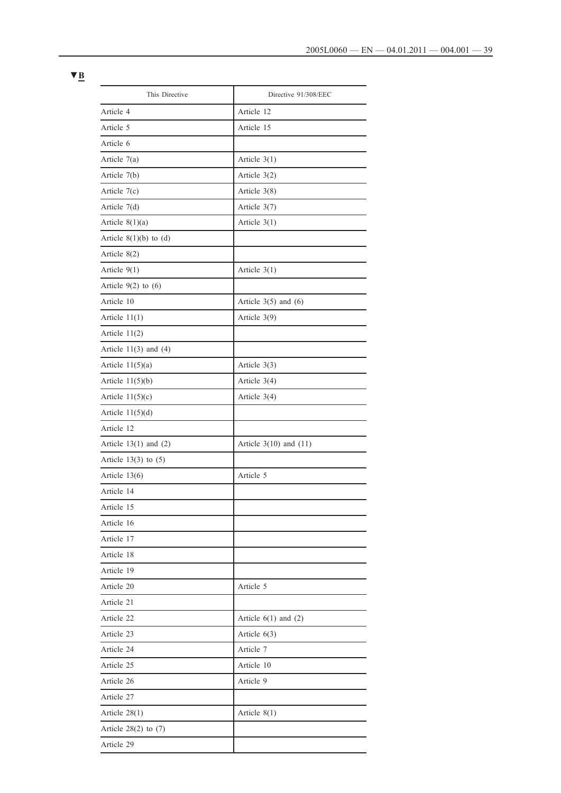| This Directive             | Directive 91/308/EEC       |
|----------------------------|----------------------------|
| Article 4                  | Article 12                 |
| Article 5                  | Article 15                 |
| Article 6                  |                            |
| Article 7(a)               | Article $3(1)$             |
| Article $7(b)$             | Article $3(2)$             |
| Article $7(c)$             | Article $3(8)$             |
| Article 7(d)               | Article 3(7)               |
| Article $8(1)(a)$          | Article $3(1)$             |
| Article $8(1)(b)$ to $(d)$ |                            |
| Article $8(2)$             |                            |
| Article $9(1)$             | Article $3(1)$             |
| Article $9(2)$ to $(6)$    |                            |
| Article 10                 | Article $3(5)$ and $(6)$   |
| Article $11(1)$            | Article $3(9)$             |
| Article $11(2)$            |                            |
| Article $11(3)$ and $(4)$  |                            |
| Article $11(5)(a)$         | Article $3(3)$             |
| Article $11(5)(b)$         | Article $3(4)$             |
| Article $11(5)(c)$         | Article $3(4)$             |
| Article $11(5)(d)$         |                            |
| Article 12                 |                            |
| Article $13(1)$ and $(2)$  | Article $3(10)$ and $(11)$ |
| Article $13(3)$ to $(5)$   |                            |
| Article $13(6)$            | Article 5                  |
| Article 14                 |                            |
| Article 15                 |                            |
| Article 16                 |                            |
| Article 17                 |                            |
| Article 18                 |                            |
| Article 19                 |                            |
| Article 20                 | Article 5                  |
| Article 21                 |                            |
| Article 22                 | Article $6(1)$ and $(2)$   |
| Article 23                 | Article 6(3)               |
| Article 24                 | Article 7                  |
| Article 25                 | Article 10                 |
| Article 26                 | Article 9                  |
| Article 27                 |                            |
| Article $28(1)$            | Article $8(1)$             |
| Article $28(2)$ to $(7)$   |                            |
| Article 29                 |                            |